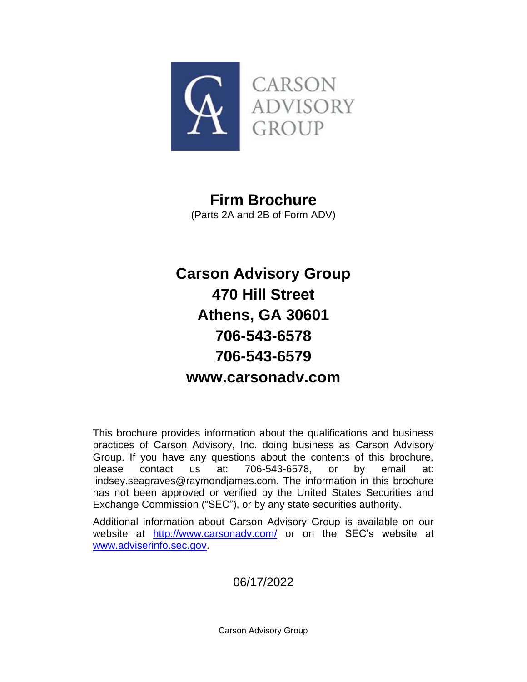

# **Firm Brochure**

(Parts 2A and 2B of Form ADV)

# **Carson Advisory Group 470 Hill Street Athens, GA 30601 706-543-6578 706-543-6579 www.carsonadv.com**

This brochure provides information about the qualifications and business practices of Carson Advisory, Inc. doing business as Carson Advisory Group. If you have any questions about the contents of this brochure, please contact us at: 706-543-6578, or by email at: lindsey.seagraves@raymondjames.com. The information in this brochure has not been approved or verified by the United States Securities and Exchange Commission ("SEC"), or by any state securities authority.

Additional information about Carson Advisory Group is available on our website at <http://www.carsonadv.com/> or on the SEC's website at [www.adviserinfo.sec.gov.](http://www.adviserinfo.sec.gov/)

06/17/2022

Carson Advisory Group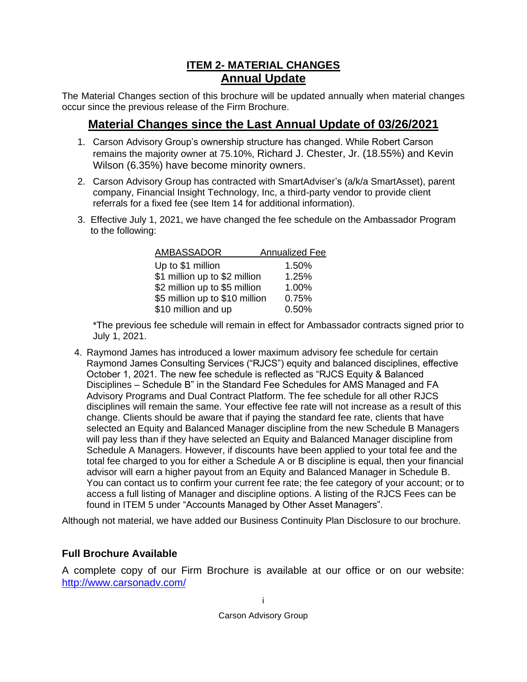# **ITEM 2- MATERIAL CHANGES Annual Update**

<span id="page-1-1"></span><span id="page-1-0"></span>The Material Changes section of this brochure will be updated annually when material changes occur since the previous release of the Firm Brochure.

# **Material Changes since the Last Annual Update of 03/26/2021**

- <span id="page-1-2"></span>1. Carson Advisory Group's ownership structure has changed. While Robert Carson remains the majority owner at 75.10%, Richard J. Chester, Jr. (18.55%) and Kevin Wilson (6.35%) have become minority owners.
- 2. Carson Advisory Group has contracted with SmartAdviser's (a/k/a SmartAsset), parent company, Financial Insight Technology, Inc, a third-party vendor to provide client referrals for a fixed fee (see Item 14 for additional information).
- 3. Effective July 1, 2021, we have changed the fee schedule on the Ambassador Program to the following:

| <b>AMBASSADOR</b>              | <b>Annualized Fee</b> |
|--------------------------------|-----------------------|
| Up to \$1 million              | 1.50%                 |
| \$1 million up to \$2 million  | 1.25%                 |
| \$2 million up to \$5 million  | 1.00%                 |
| \$5 million up to \$10 million | 0.75%                 |
| \$10 million and up            | 0.50%                 |

\*The previous fee schedule will remain in effect for Ambassador contracts signed prior to July 1, 2021.

4. Raymond James has introduced a lower maximum advisory fee schedule for certain Raymond James Consulting Services ("RJCS") equity and balanced disciplines, effective October 1, 2021. The new fee schedule is reflected as "RJCS Equity & Balanced Disciplines – Schedule B" in the Standard Fee Schedules for AMS Managed and FA Advisory Programs and Dual Contract Platform. The fee schedule for all other RJCS disciplines will remain the same. Your effective fee rate will not increase as a result of this change. Clients should be aware that if paying the standard fee rate, clients that have selected an Equity and Balanced Manager discipline from the new Schedule B Managers will pay less than if they have selected an Equity and Balanced Manager discipline from Schedule A Managers. However, if discounts have been applied to your total fee and the total fee charged to you for either a Schedule A or B discipline is equal, then your financial advisor will earn a higher payout from an Equity and Balanced Manager in Schedule B. You can contact us to confirm your current fee rate; the fee category of your account; or to access a full listing of Manager and discipline options. A listing of the RJCS Fees can be found in ITEM 5 under "Accounts Managed by Other Asset Managers".

Although not material, we have added our Business Continuity Plan Disclosure to our brochure.

### **Full Brochure Available**

A complete copy of our Firm Brochure is available at our office or on our website: <http://www.carsonadv.com/>

i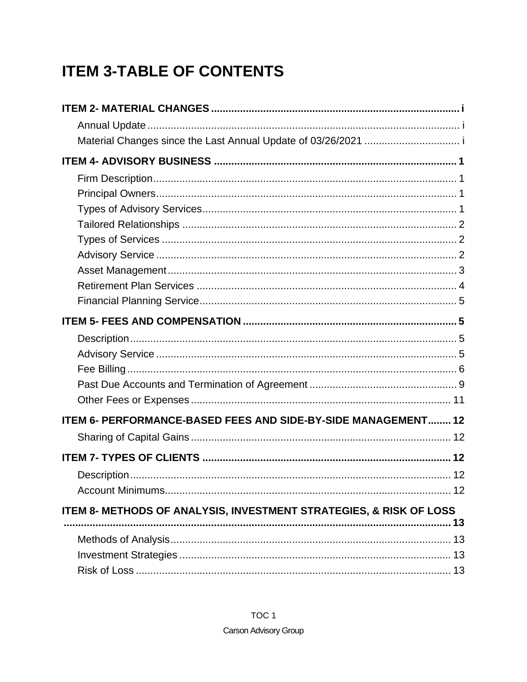# **ITEM 3-TABLE OF CONTENTS**

| ITEM 6- PERFORMANCE-BASED FEES AND SIDE-BY-SIDE MANAGEMENT 12      |  |
|--------------------------------------------------------------------|--|
|                                                                    |  |
| ITEM 7- TYPES OF CLIENTS ……………………………………………………………………………… 12         |  |
|                                                                    |  |
|                                                                    |  |
| ITEM 8- METHODS OF ANALYSIS, INVESTMENT STRATEGIES, & RISK OF LOSS |  |
| 13                                                                 |  |
|                                                                    |  |
|                                                                    |  |
|                                                                    |  |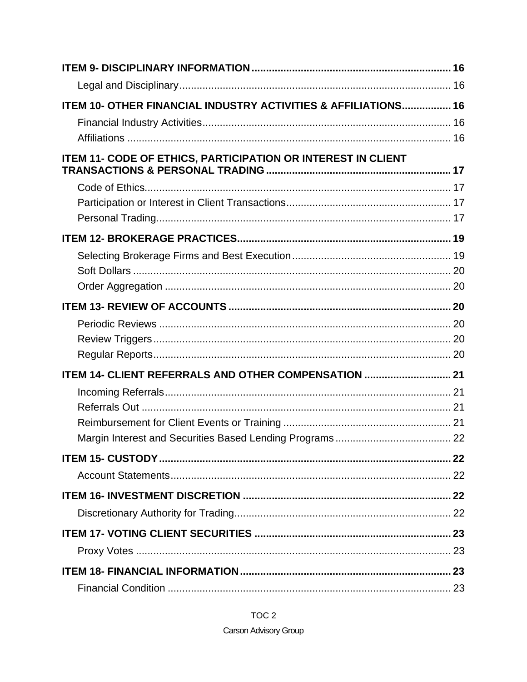| ITEM 10- OTHER FINANCIAL INDUSTRY ACTIVITIES & AFFILIATIONS 16 |  |
|----------------------------------------------------------------|--|
|                                                                |  |
|                                                                |  |
| ITEM 11- CODE OF ETHICS, PARTICIPATION OR INTEREST IN CLIENT   |  |
|                                                                |  |
|                                                                |  |
|                                                                |  |
|                                                                |  |
|                                                                |  |
|                                                                |  |
|                                                                |  |
|                                                                |  |
|                                                                |  |
|                                                                |  |
|                                                                |  |
| ITEM 14- CLIENT REFERRALS AND OTHER COMPENSATION  21           |  |
|                                                                |  |
|                                                                |  |
|                                                                |  |
|                                                                |  |
|                                                                |  |
|                                                                |  |
|                                                                |  |
|                                                                |  |
|                                                                |  |
|                                                                |  |
|                                                                |  |
|                                                                |  |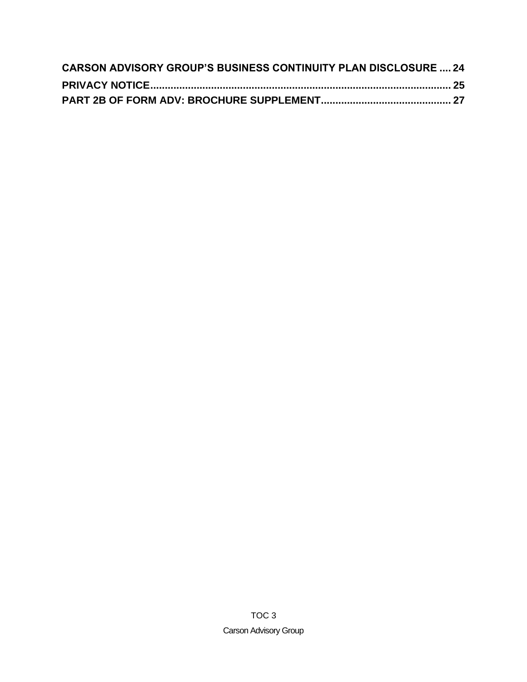| <b>CARSON ADVISORY GROUP'S BUSINESS CONTINUITY PLAN DISCLOSURE  24</b> |  |
|------------------------------------------------------------------------|--|
|                                                                        |  |
|                                                                        |  |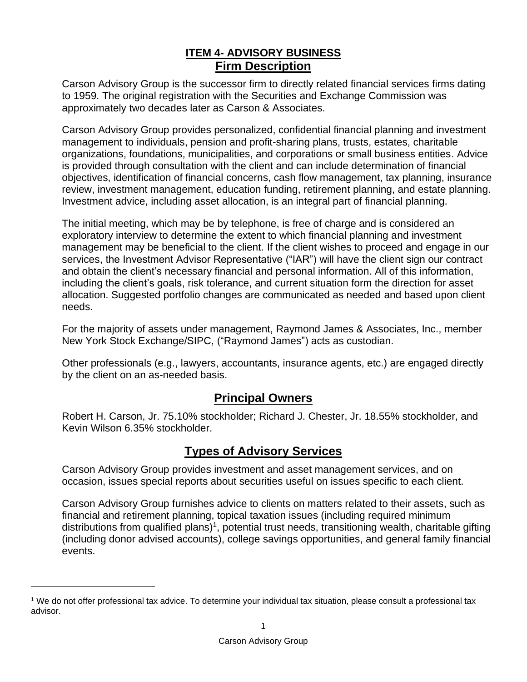# **ITEM 4- ADVISORY BUSINESS Firm Description**

<span id="page-5-1"></span><span id="page-5-0"></span>Carson Advisory Group is the successor firm to directly related financial services firms dating to 1959. The original registration with the Securities and Exchange Commission was approximately two decades later as Carson & Associates.

Carson Advisory Group provides personalized, confidential financial planning and investment management to individuals, pension and profit-sharing plans, trusts, estates, charitable organizations, foundations, municipalities, and corporations or small business entities. Advice is provided through consultation with the client and can include determination of financial objectives, identification of financial concerns, cash flow management, tax planning, insurance review, investment management, education funding, retirement planning, and estate planning. Investment advice, including asset allocation, is an integral part of financial planning.

The initial meeting, which may be by telephone, is free of charge and is considered an exploratory interview to determine the extent to which financial planning and investment management may be beneficial to the client. If the client wishes to proceed and engage in our services, the Investment Advisor Representative ("IAR") will have the client sign our contract and obtain the client's necessary financial and personal information. All of this information, including the client's goals, risk tolerance, and current situation form the direction for asset allocation. Suggested portfolio changes are communicated as needed and based upon client needs.

For the majority of assets under management, Raymond James & Associates, Inc., member New York Stock Exchange/SIPC, ("Raymond James") acts as custodian.

Other professionals (e.g., lawyers, accountants, insurance agents, etc.) are engaged directly by the client on an as-needed basis.

# **Principal Owners**

<span id="page-5-2"></span>Robert H. Carson, Jr. 75.10% stockholder; Richard J. Chester, Jr. 18.55% stockholder, and Kevin Wilson 6.35% stockholder.

# **Types of Advisory Services**

<span id="page-5-3"></span>Carson Advisory Group provides investment and asset management services, and on occasion, issues special reports about securities useful on issues specific to each client.

Carson Advisory Group furnishes advice to clients on matters related to their assets, such as financial and retirement planning, topical taxation issues (including required minimum distributions from qualified plans)<sup>1</sup>, potential trust needs, transitioning wealth, charitable gifting (including donor advised accounts), college savings opportunities, and general family financial events.

<sup>1</sup> We do not offer professional tax advice. To determine your individual tax situation, please consult a professional tax advisor.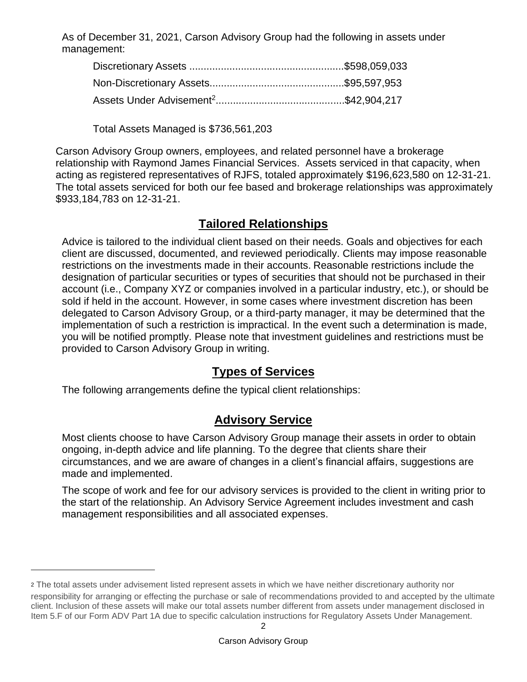As of December 31, 2021, Carson Advisory Group had the following in assets under management:

Total Assets Managed is \$736,561,203

Carson Advisory Group owners, employees, and related personnel have a brokerage relationship with Raymond James Financial Services. Assets serviced in that capacity, when acting as registered representatives of RJFS, totaled approximately \$196,623,580 on 12-31-21. The total assets serviced for both our fee based and brokerage relationships was approximately \$933,184,783 on 12-31-21.

# **Tailored Relationships**

<span id="page-6-0"></span>Advice is tailored to the individual client based on their needs. Goals and objectives for each client are discussed, documented, and reviewed periodically. Clients may impose reasonable restrictions on the investments made in their accounts. Reasonable restrictions include the designation of particular securities or types of securities that should not be purchased in their account (i.e., Company XYZ or companies involved in a particular industry, etc.), or should be sold if held in the account. However, in some cases where investment discretion has been delegated to Carson Advisory Group, or a third-party manager, it may be determined that the implementation of such a restriction is impractical. In the event such a determination is made, you will be notified promptly. Please note that investment guidelines and restrictions must be provided to Carson Advisory Group in writing.

# **Types of Services**

<span id="page-6-1"></span>The following arrangements define the typical client relationships:

# **Advisory Service**

<span id="page-6-2"></span>Most clients choose to have Carson Advisory Group manage their assets in order to obtain ongoing, in-depth advice and life planning. To the degree that clients share their circumstances, and we are aware of changes in a client's financial affairs, suggestions are made and implemented.

The scope of work and fee for our advisory services is provided to the client in writing prior to the start of the relationship. An Advisory Service Agreement includes investment and cash management responsibilities and all associated expenses.

<sup>2</sup> <sup>2</sup> The total assets under advisement listed represent assets in which we have neither discretionary authority nor responsibility for arranging or effecting the purchase or sale of recommendations provided to and accepted by the ultimate client. Inclusion of these assets will make our total assets number different from assets under management disclosed in Item 5.F of our Form ADV Part 1A due to specific calculation instructions for Regulatory Assets Under Management.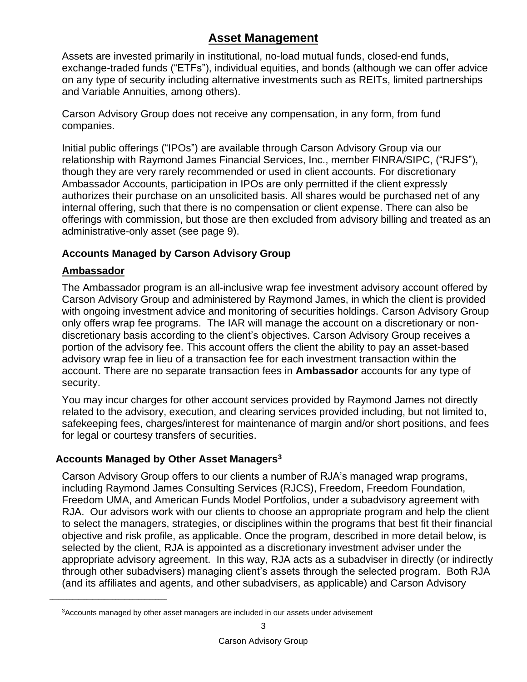# **Asset Management**

<span id="page-7-0"></span>Assets are invested primarily in institutional, no-load mutual funds, closed-end funds, exchange-traded funds ("ETFs"), individual equities, and bonds (although we can offer advice on any type of security including alternative investments such as REITs, limited partnerships and Variable Annuities, among others).

Carson Advisory Group does not receive any compensation, in any form, from fund companies.

Initial public offerings ("IPOs") are available through Carson Advisory Group via our relationship with Raymond James Financial Services, Inc., member FINRA/SIPC, ("RJFS"), though they are very rarely recommended or used in client accounts. For discretionary Ambassador Accounts, participation in IPOs are only permitted if the client expressly authorizes their purchase on an unsolicited basis. All shares would be purchased net of any internal offering, such that there is no compensation or client expense. There can also be offerings with commission, but those are then excluded from advisory billing and treated as an administrative-only asset (see page 9).

# **Accounts Managed by Carson Advisory Group**

### **Ambassador**

\_\_\_\_\_\_\_\_\_\_\_\_\_\_\_\_\_\_\_\_\_\_\_\_\_\_\_\_\_\_\_\_\_\_\_\_\_\_\_\_\_

The Ambassador program is an all-inclusive wrap fee investment advisory account offered by Carson Advisory Group and administered by Raymond James, in which the client is provided with ongoing investment advice and monitoring of securities holdings. Carson Advisory Group only offers wrap fee programs. The IAR will manage the account on a discretionary or nondiscretionary basis according to the client's objectives. Carson Advisory Group receives a portion of the advisory fee. This account offers the client the ability to pay an asset-based advisory wrap fee in lieu of a transaction fee for each investment transaction within the account. There are no separate transaction fees in **Ambassador** accounts for any type of security.

You may incur charges for other account services provided by Raymond James not directly related to the advisory, execution, and clearing services provided including, but not limited to, safekeeping fees, charges/interest for maintenance of margin and/or short positions, and fees for legal or courtesy transfers of securities.

### **Accounts Managed by Other Asset Managers<sup>3</sup>**

Carson Advisory Group offers to our clients a number of RJA's managed wrap programs, including Raymond James Consulting Services (RJCS), Freedom, Freedom Foundation, Freedom UMA, and American Funds Model Portfolios, under a subadvisory agreement with RJA. Our advisors work with our clients to choose an appropriate program and help the client to select the managers, strategies, or disciplines within the programs that best fit their financial objective and risk profile, as applicable. Once the program, described in more detail below, is selected by the client, RJA is appointed as a discretionary investment adviser under the appropriate advisory agreement. In this way, RJA acts as a subadviser in directly (or indirectly through other subadvisers) managing client's assets through the selected program. Both RJA (and its affiliates and agents, and other subadvisers, as applicable) and Carson Advisory

<sup>3</sup>Accounts managed by other asset managers are included in our assets under advisement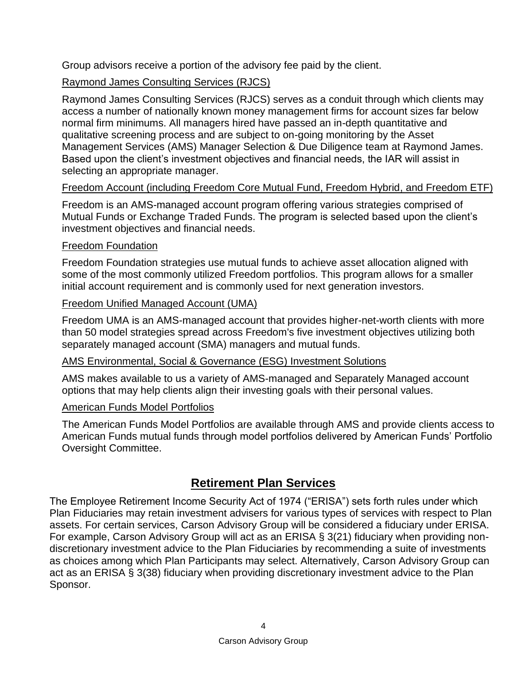Group advisors receive a portion of the advisory fee paid by the client.

# Raymond James Consulting Services (RJCS)

Raymond James Consulting Services (RJCS) serves as a conduit through which clients may access a number of nationally known money management firms for account sizes far below normal firm minimums. All managers hired have passed an in-depth quantitative and qualitative screening process and are subject to on-going monitoring by the Asset Management Services (AMS) Manager Selection & Due Diligence team at Raymond James. Based upon the client's investment objectives and financial needs, the IAR will assist in selecting an appropriate manager.

# Freedom Account (including Freedom Core Mutual Fund, Freedom Hybrid, and Freedom ETF)

Freedom is an AMS-managed account program offering various strategies comprised of Mutual Funds or Exchange Traded Funds. The program is selected based upon the client's investment objectives and financial needs.

### Freedom Foundation

Freedom Foundation strategies use mutual funds to achieve asset allocation aligned with some of the most commonly utilized Freedom portfolios. This program allows for a smaller initial account requirement and is commonly used for next generation investors.

### Freedom Unified Managed Account (UMA)

Freedom UMA is an AMS-managed account that provides higher-net-worth clients with more than 50 model strategies spread across Freedom's five investment objectives utilizing both separately managed account (SMA) managers and mutual funds.

### AMS Environmental, Social & Governance (ESG) Investment Solutions

AMS makes available to us a variety of AMS-managed and Separately Managed account options that may help clients align their investing goals with their personal values.

### American Funds Model Portfolios

The American Funds Model Portfolios are available through AMS and provide clients access to American Funds mutual funds through model portfolios delivered by American Funds' Portfolio Oversight Committee.

# **Retirement Plan Services**

<span id="page-8-0"></span>The Employee Retirement Income Security Act of 1974 ("ERISA") sets forth rules under which Plan Fiduciaries may retain investment advisers for various types of services with respect to Plan assets. For certain services, Carson Advisory Group will be considered a fiduciary under ERISA. For example, Carson Advisory Group will act as an ERISA § 3(21) fiduciary when providing nondiscretionary investment advice to the Plan Fiduciaries by recommending a suite of investments as choices among which Plan Participants may select. Alternatively, Carson Advisory Group can act as an ERISA § 3(38) fiduciary when providing discretionary investment advice to the Plan Sponsor.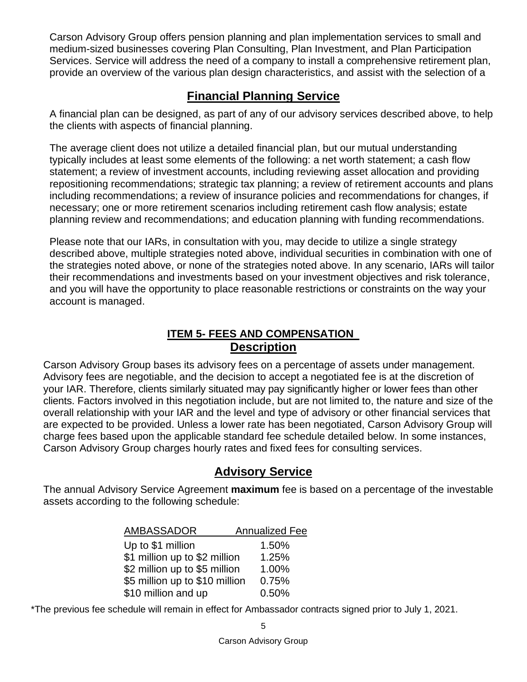Carson Advisory Group offers pension planning and plan implementation services to small and medium-sized businesses covering Plan Consulting, Plan Investment, and Plan Participation Services. Service will address the need of a company to install a comprehensive retirement plan, provide an overview of the various plan design characteristics, and assist with the selection of a

# **Financial Planning Service**

<span id="page-9-0"></span>A financial plan can be designed, as part of any of our advisory services described above, to help the clients with aspects of financial planning.

The average client does not utilize a detailed financial plan, but our mutual understanding typically includes at least some elements of the following: a net worth statement; a cash flow statement; a review of investment accounts, including reviewing asset allocation and providing repositioning recommendations; strategic tax planning; a review of retirement accounts and plans including recommendations; a review of insurance policies and recommendations for changes, if necessary; one or more retirement scenarios including retirement cash flow analysis; estate planning review and recommendations; and education planning with funding recommendations.

Please note that our IARs, in consultation with you, may decide to utilize a single strategy described above, multiple strategies noted above, individual securities in combination with one of the strategies noted above, or none of the strategies noted above. In any scenario, IARs will tailor their recommendations and investments based on your investment objectives and risk tolerance, and you will have the opportunity to place reasonable restrictions or constraints on the way your account is managed.

# **ITEM 5- FEES AND COMPENSATION Description**

<span id="page-9-2"></span><span id="page-9-1"></span>Carson Advisory Group bases its advisory fees on a percentage of assets under management. Advisory fees are negotiable, and the decision to accept a negotiated fee is at the discretion of your IAR. Therefore, clients similarly situated may pay significantly higher or lower fees than other clients. Factors involved in this negotiation include, but are not limited to, the nature and size of the overall relationship with your IAR and the level and type of advisory or other financial services that are expected to be provided. Unless a lower rate has been negotiated, Carson Advisory Group will charge fees based upon the applicable standard fee schedule detailed below. In some instances, Carson Advisory Group charges hourly rates and fixed fees for consulting services.

# **Advisory Service**

<span id="page-9-3"></span>The annual Advisory Service Agreement **maximum** fee is based on a percentage of the investable assets according to the following schedule:

| <b>AMBASSADOR</b>              | <b>Annualized Fee</b> |
|--------------------------------|-----------------------|
| Up to \$1 million              | 1.50%                 |
| \$1 million up to \$2 million  | 1.25%                 |
| \$2 million up to \$5 million  | 1.00%                 |
| \$5 million up to \$10 million | 0.75%                 |
| \$10 million and up            | 0.50%                 |

\*The previous fee schedule will remain in effect for Ambassador contracts signed prior to July 1, 2021.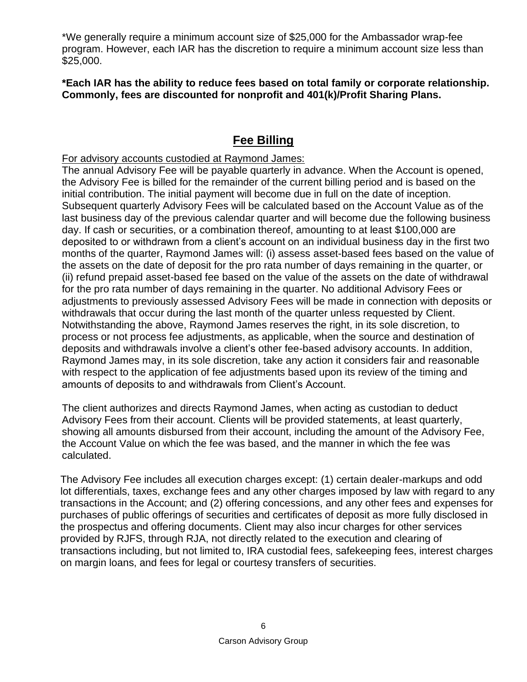\*We generally require a minimum account size of \$25,000 for the Ambassador wrap-fee program. However, each IAR has the discretion to require a minimum account size less than \$25,000.

**\*Each IAR has the ability to reduce fees based on total family or corporate relationship. Commonly, fees are discounted for nonprofit and 401(k)/Profit Sharing Plans.** 

# **Fee Billing**

<span id="page-10-0"></span>For advisory accounts custodied at Raymond James:

The annual Advisory Fee will be payable quarterly in advance. When the Account is opened, the Advisory Fee is billed for the remainder of the current billing period and is based on the initial contribution. The initial payment will become due in full on the date of inception. Subsequent quarterly Advisory Fees will be calculated based on the Account Value as of the last business day of the previous calendar quarter and will become due the following business day. If cash or securities, or a combination thereof, amounting to at least \$100,000 are deposited to or withdrawn from a client's account on an individual business day in the first two months of the quarter, Raymond James will: (i) assess asset-based fees based on the value of the assets on the date of deposit for the pro rata number of days remaining in the quarter, or (ii) refund prepaid asset-based fee based on the value of the assets on the date of withdrawal for the pro rata number of days remaining in the quarter. No additional Advisory Fees or adjustments to previously assessed Advisory Fees will be made in connection with deposits or withdrawals that occur during the last month of the quarter unless requested by Client. Notwithstanding the above, Raymond James reserves the right, in its sole discretion, to process or not process fee adjustments, as applicable, when the source and destination of deposits and withdrawals involve a client's other fee-based advisory accounts. In addition, Raymond James may, in its sole discretion, take any action it considers fair and reasonable with respect to the application of fee adjustments based upon its review of the timing and amounts of deposits to and withdrawals from Client's Account.

The client authorizes and directs Raymond James, when acting as custodian to deduct Advisory Fees from their account. Clients will be provided statements, at least quarterly, showing all amounts disbursed from their account, including the amount of the Advisory Fee, the Account Value on which the fee was based, and the manner in which the fee was calculated.

The Advisory Fee includes all execution charges except: (1) certain dealer-markups and odd lot differentials, taxes, exchange fees and any other charges imposed by law with regard to any transactions in the Account; and (2) offering concessions, and any other fees and expenses for purchases of public offerings of securities and certificates of deposit as more fully disclosed in the prospectus and offering documents. Client may also incur charges for other services provided by RJFS, through RJA, not directly related to the execution and clearing of transactions including, but not limited to, IRA custodial fees, safekeeping fees, interest charges on margin loans, and fees for legal or courtesy transfers of securities.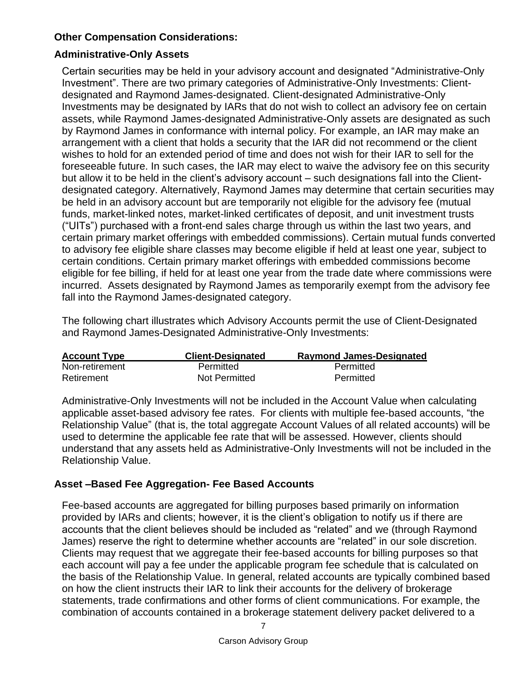# **Other Compensation Considerations:**

# **Administrative-Only Assets**

Certain securities may be held in your advisory account and designated "Administrative-Only Investment". There are two primary categories of Administrative-Only Investments: Clientdesignated and Raymond James-designated. Client-designated Administrative-Only Investments may be designated by IARs that do not wish to collect an advisory fee on certain assets, while Raymond James-designated Administrative-Only assets are designated as such by Raymond James in conformance with internal policy. For example, an IAR may make an arrangement with a client that holds a security that the IAR did not recommend or the client wishes to hold for an extended period of time and does not wish for their IAR to sell for the foreseeable future. In such cases, the IAR may elect to waive the advisory fee on this security but allow it to be held in the client's advisory account – such designations fall into the Clientdesignated category. Alternatively, Raymond James may determine that certain securities may be held in an advisory account but are temporarily not eligible for the advisory fee (mutual funds, market-linked notes, market-linked certificates of deposit, and unit investment trusts ("UITs") purchased with a front-end sales charge through us within the last two years, and certain primary market offerings with embedded commissions). Certain mutual funds converted to advisory fee eligible share classes may become eligible if held at least one year, subject to certain conditions. Certain primary market offerings with embedded commissions become eligible for fee billing, if held for at least one year from the trade date where commissions were incurred. Assets designated by Raymond James as temporarily exempt from the advisory fee fall into the Raymond James-designated category.

The following chart illustrates which Advisory Accounts permit the use of Client-Designated and Raymond James-Designated Administrative-Only Investments:

| <b>Account Type</b> | <b>Client-Designated</b> | <b>Raymond James-Designated</b> |
|---------------------|--------------------------|---------------------------------|
| Non-retirement      | Permitted                | Permitted                       |
| Retirement          | Not Permitted            | Permitted                       |

Administrative-Only Investments will not be included in the Account Value when calculating applicable asset-based advisory fee rates. For clients with multiple fee-based accounts, "the Relationship Value" (that is, the total aggregate Account Values of all related accounts) will be used to determine the applicable fee rate that will be assessed. However, clients should understand that any assets held as Administrative-Only Investments will not be included in the Relationship Value.

### **Asset –Based Fee Aggregation- Fee Based Accounts**

Fee-based accounts are aggregated for billing purposes based primarily on information provided by IARs and clients; however, it is the client's obligation to notify us if there are accounts that the client believes should be included as "related" and we (through Raymond James) reserve the right to determine whether accounts are "related" in our sole discretion. Clients may request that we aggregate their fee-based accounts for billing purposes so that each account will pay a fee under the applicable program fee schedule that is calculated on the basis of the Relationship Value. In general, related accounts are typically combined based on how the client instructs their IAR to link their accounts for the delivery of brokerage statements, trade confirmations and other forms of client communications. For example, the combination of accounts contained in a brokerage statement delivery packet delivered to a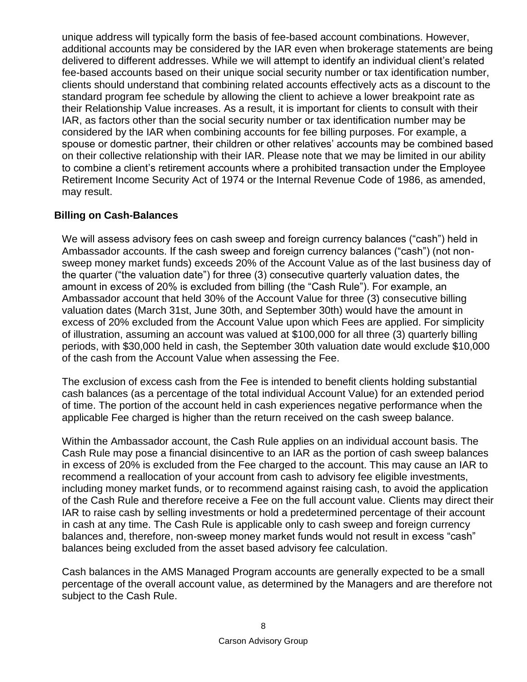unique address will typically form the basis of fee-based account combinations. However, additional accounts may be considered by the IAR even when brokerage statements are being delivered to different addresses. While we will attempt to identify an individual client's related fee-based accounts based on their unique social security number or tax identification number, clients should understand that combining related accounts effectively acts as a discount to the standard program fee schedule by allowing the client to achieve a lower breakpoint rate as their Relationship Value increases. As a result, it is important for clients to consult with their IAR, as factors other than the social security number or tax identification number may be considered by the IAR when combining accounts for fee billing purposes. For example, a spouse or domestic partner, their children or other relatives' accounts may be combined based on their collective relationship with their IAR. Please note that we may be limited in our ability to combine a client's retirement accounts where a prohibited transaction under the Employee Retirement Income Security Act of 1974 or the Internal Revenue Code of 1986, as amended, may result.

# **Billing on Cash-Balances**

We will assess advisory fees on cash sweep and foreign currency balances ("cash") held in Ambassador accounts. If the cash sweep and foreign currency balances ("cash") (not nonsweep money market funds) exceeds 20% of the Account Value as of the last business day of the quarter ("the valuation date") for three (3) consecutive quarterly valuation dates, the amount in excess of 20% is excluded from billing (the "Cash Rule"). For example, an Ambassador account that held 30% of the Account Value for three (3) consecutive billing valuation dates (March 31st, June 30th, and September 30th) would have the amount in excess of 20% excluded from the Account Value upon which Fees are applied. For simplicity of illustration, assuming an account was valued at \$100,000 for all three (3) quarterly billing periods, with \$30,000 held in cash, the September 30th valuation date would exclude \$10,000 of the cash from the Account Value when assessing the Fee.

The exclusion of excess cash from the Fee is intended to benefit clients holding substantial cash balances (as a percentage of the total individual Account Value) for an extended period of time. The portion of the account held in cash experiences negative performance when the applicable Fee charged is higher than the return received on the cash sweep balance.

Within the Ambassador account, the Cash Rule applies on an individual account basis. The Cash Rule may pose a financial disincentive to an IAR as the portion of cash sweep balances in excess of 20% is excluded from the Fee charged to the account. This may cause an IAR to recommend a reallocation of your account from cash to advisory fee eligible investments, including money market funds, or to recommend against raising cash, to avoid the application of the Cash Rule and therefore receive a Fee on the full account value. Clients may direct their IAR to raise cash by selling investments or hold a predetermined percentage of their account in cash at any time. The Cash Rule is applicable only to cash sweep and foreign currency balances and, therefore, non-sweep money market funds would not result in excess "cash" balances being excluded from the asset based advisory fee calculation.

Cash balances in the AMS Managed Program accounts are generally expected to be a small percentage of the overall account value, as determined by the Managers and are therefore not subject to the Cash Rule.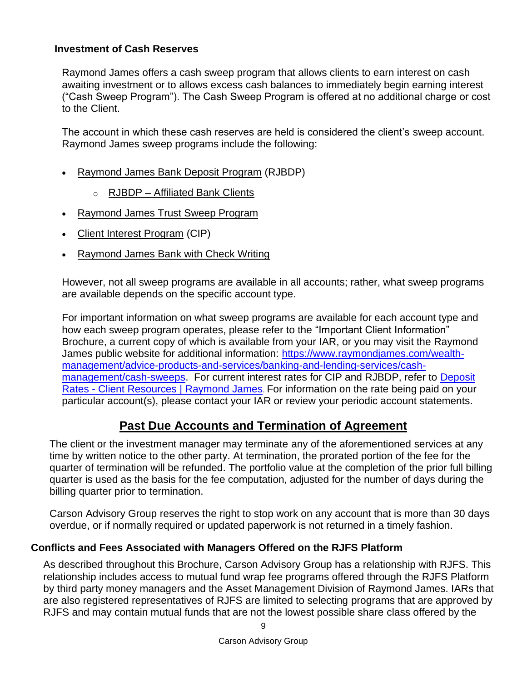#### **Investment of Cash Reserves**

Raymond James offers a cash sweep program that allows clients to earn interest on cash awaiting investment or to allows excess cash balances to immediately begin earning interest ("Cash Sweep Program"). The Cash Sweep Program is offered at no additional charge or cost to the Client.

The account in which these cash reserves are held is considered the client's sweep account. Raymond James sweep programs include the following:

- [Raymond James Bank Deposit Program](https://www.raymondjames.com/wealth-management/advice-products-and-services/banking-and-lending-services/cash-management/cash-sweeps/raymond-james-bank-deposit-program) (RJBDP)
	- o RJBDP [Affiliated Bank Clients](https://www.raymondjames.com/wealth-management/advice-products-and-services/banking-and-lending-services/cash-management/cash-sweeps/raymond-james-bank-deposit-program-affiliated-banks)
- [Raymond James Trust Sweep Program](https://www.raymondjames.com/wealth-management/advice-products-and-services/banking-and-lending-services/cash-management/cash-sweeps/raymond-james-trust-sweep-program)
- **[Client Interest Program](https://www.raymondjames.com/wealth-management/advice-products-and-services/banking-and-lending-services/cash-management/cash-sweeps/client-interest-program) (CIP)**
- [Raymond James Bank with Check Writing](https://www.raymondjames.com/wealth-management/advice-products-and-services/banking-and-lending-services/cash-management/cash-sweeps/raymond-james-bank-with-check-writing)

However, not all sweep programs are available in all accounts; rather, what sweep programs are available depends on the specific account type.

For important information on what sweep programs are available for each account type and how each sweep program operates, please refer to the "Important Client Information" Brochure, a current copy of which is available from your IAR, or you may visit the Raymond James public website for additional information: [https://www.raymondjames.com/wealth](https://www.raymondjames.com/wealth-management/advice-products-and-services/banking-and-lending-services/cash-management/cash-sweeps)[management/advice-products-and-services/banking-and-lending-services/cash](https://www.raymondjames.com/wealth-management/advice-products-and-services/banking-and-lending-services/cash-management/cash-sweeps)[management/cash-sweeps.](https://www.raymondjames.com/wealth-management/advice-products-and-services/banking-and-lending-services/cash-management/cash-sweeps) For current interest rates for CIP and RJBDP, refer to [Deposit](https://www.raymondjames.com/client-resources/market-numbers/deposit-rates)  Rates - [Client Resources | Raymond James](https://www.raymondjames.com/client-resources/market-numbers/deposit-rates). For information on the rate being paid on your particular account(s), please contact your IAR or review your periodic account statements.

# **Past Due Accounts and Termination of Agreement**

<span id="page-13-0"></span>The client or the investment manager may terminate any of the aforementioned services at any time by written notice to the other party. At termination, the prorated portion of the fee for the quarter of termination will be refunded. The portfolio value at the completion of the prior full billing quarter is used as the basis for the fee computation, adjusted for the number of days during the billing quarter prior to termination.

Carson Advisory Group reserves the right to stop work on any account that is more than 30 days overdue, or if normally required or updated paperwork is not returned in a timely fashion.

#### **Conflicts and Fees Associated with Managers Offered on the RJFS Platform**

As described throughout this Brochure, Carson Advisory Group has a relationship with RJFS. This relationship includes access to mutual fund wrap fee programs offered through the RJFS Platform by third party money managers and the Asset Management Division of Raymond James. IARs that are also registered representatives of RJFS are limited to selecting programs that are approved by RJFS and may contain mutual funds that are not the lowest possible share class offered by the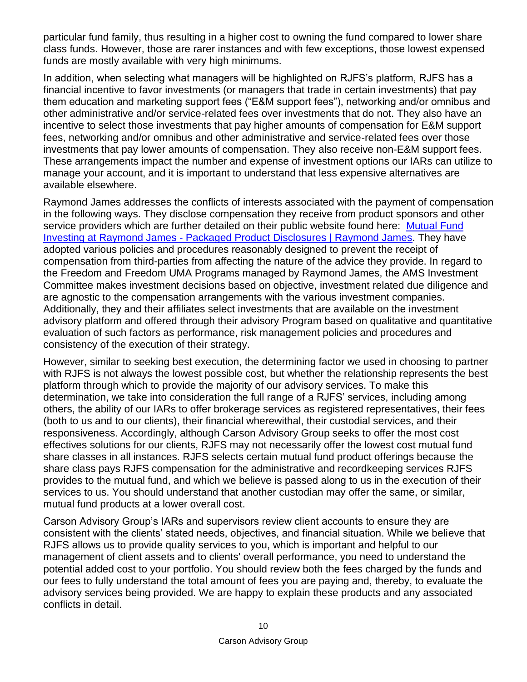particular fund family, thus resulting in a higher cost to owning the fund compared to lower share class funds. However, those are rarer instances and with few exceptions, those lowest expensed funds are mostly available with very high minimums.

In addition, when selecting what managers will be highlighted on RJFS's platform, RJFS has a financial incentive to favor investments (or managers that trade in certain investments) that pay them education and marketing support fees ("E&M support fees"), networking and/or omnibus and other administrative and/or service-related fees over investments that do not. They also have an incentive to select those investments that pay higher amounts of compensation for E&M support fees, networking and/or omnibus and other administrative and service-related fees over those investments that pay lower amounts of compensation. They also receive non-E&M support fees. These arrangements impact the number and expense of investment options our IARs can utilize to manage your account, and it is important to understand that less expensive alternatives are available elsewhere.

Raymond James addresses the conflicts of interests associated with the payment of compensation in the following ways. They disclose compensation they receive from product sponsors and other service providers which are further detailed on their public website found here: [Mutual Fund](https://www.raymondjames.com/legal-disclosures/packaged-product-disclosures/mutual-fund-investing-at-raymond-james)  Investing at Raymond James - [Packaged Product Disclosures | Raymond James.](https://www.raymondjames.com/legal-disclosures/packaged-product-disclosures/mutual-fund-investing-at-raymond-james) They have adopted various policies and procedures reasonably designed to prevent the receipt of compensation from third-parties from affecting the nature of the advice they provide. In regard to the Freedom and Freedom UMA Programs managed by Raymond James, the AMS Investment Committee makes investment decisions based on objective, investment related due diligence and are agnostic to the compensation arrangements with the various investment companies. Additionally, they and their affiliates select investments that are available on the investment advisory platform and offered through their advisory Program based on qualitative and quantitative evaluation of such factors as performance, risk management policies and procedures and consistency of the execution of their strategy.

However, similar to seeking best execution, the determining factor we used in choosing to partner with RJFS is not always the lowest possible cost, but whether the relationship represents the best platform through which to provide the majority of our advisory services. To make this determination, we take into consideration the full range of a RJFS' services, including among others, the ability of our IARs to offer brokerage services as registered representatives, their fees (both to us and to our clients), their financial wherewithal, their custodial services, and their responsiveness. Accordingly, although Carson Advisory Group seeks to offer the most cost effectives solutions for our clients, RJFS may not necessarily offer the lowest cost mutual fund share classes in all instances. RJFS selects certain mutual fund product offerings because the share class pays RJFS compensation for the administrative and recordkeeping services RJFS provides to the mutual fund, and which we believe is passed along to us in the execution of their services to us. You should understand that another custodian may offer the same, or similar, mutual fund products at a lower overall cost.

Carson Advisory Group's IARs and supervisors review client accounts to ensure they are consistent with the clients' stated needs, objectives, and financial situation. While we believe that RJFS allows us to provide quality services to you, which is important and helpful to our management of client assets and to clients' overall performance, you need to understand the potential added cost to your portfolio. You should review both the fees charged by the funds and our fees to fully understand the total amount of fees you are paying and, thereby, to evaluate the advisory services being provided. We are happy to explain these products and any associated conflicts in detail.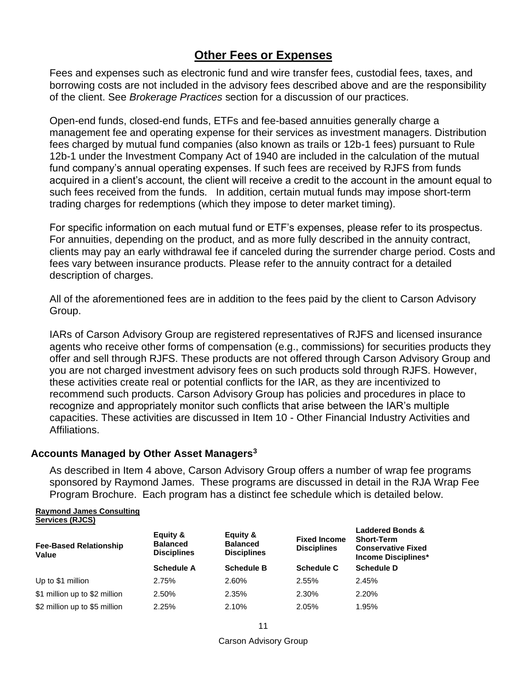# **Other Fees or Expenses**

<span id="page-15-0"></span>Fees and expenses such as electronic fund and wire transfer fees, custodial fees, taxes, and borrowing costs are not included in the advisory fees described above and are the responsibility of the client. See *Brokerage Practices* section for a discussion of our practices.

Open-end funds, closed-end funds, ETFs and fee-based annuities generally charge a management fee and operating expense for their services as investment managers. Distribution fees charged by mutual fund companies (also known as trails or 12b-1 fees) pursuant to Rule 12b-1 under the Investment Company Act of 1940 are included in the calculation of the mutual fund company's annual operating expenses. If such fees are received by RJFS from funds acquired in a client's account, the client will receive a credit to the account in the amount equal to such fees received from the funds. In addition, certain mutual funds may impose short-term trading charges for redemptions (which they impose to deter market timing).

For specific information on each mutual fund or ETF's expenses, please refer to its prospectus. For annuities, depending on the product, and as more fully described in the annuity contract, clients may pay an early withdrawal fee if canceled during the surrender charge period. Costs and fees vary between insurance products. Please refer to the annuity contract for a detailed description of charges.

All of the aforementioned fees are in addition to the fees paid by the client to Carson Advisory Group.

IARs of Carson Advisory Group are registered representatives of RJFS and licensed insurance agents who receive other forms of compensation (e.g., commissions) for securities products they offer and sell through RJFS. These products are not offered through Carson Advisory Group and you are not charged investment advisory fees on such products sold through RJFS. However, these activities create real or potential conflicts for the IAR, as they are incentivized to recommend such products. Carson Advisory Group has policies and procedures in place to recognize and appropriately monitor such conflicts that arise between the IAR's multiple capacities. These activities are discussed in Item 10 - Other Financial Industry Activities and Affiliations.

#### **Accounts Managed by Other Asset Managers<sup>3</sup>**

As described in Item 4 above, Carson Advisory Group offers a number of wrap fee programs sponsored by Raymond James. These programs are discussed in detail in the RJA Wrap Fee Program Brochure. Each program has a distinct fee schedule which is detailed below.

#### **Raymond James Consulting Services (RJCS)**

| <b>Fee-Based Relationship</b><br>Value | Equity &<br><b>Balanced</b><br><b>Disciplines</b> | Equity &<br><b>Balanced</b><br><b>Disciplines</b> | <b>Fixed Income</b><br><b>Disciplines</b> | <b>Laddered Bonds &amp;</b><br><b>Short-Term</b><br><b>Conservative Fixed</b><br>Income Disciplines* |  |
|----------------------------------------|---------------------------------------------------|---------------------------------------------------|-------------------------------------------|------------------------------------------------------------------------------------------------------|--|
|                                        | <b>Schedule A</b>                                 | <b>Schedule B</b>                                 | <b>Schedule C</b>                         | <b>Schedule D</b>                                                                                    |  |
| Up to \$1 million                      | 2.75%                                             | 2.60%                                             | 2.55%                                     | 2.45%                                                                                                |  |
| \$1 million up to \$2 million          | 2.50%                                             | 2.35%                                             | 2.30%                                     | 2.20%                                                                                                |  |
| \$2 million up to \$5 million          | 2.25%                                             | 2.10%                                             | 2.05%                                     | 1.95%                                                                                                |  |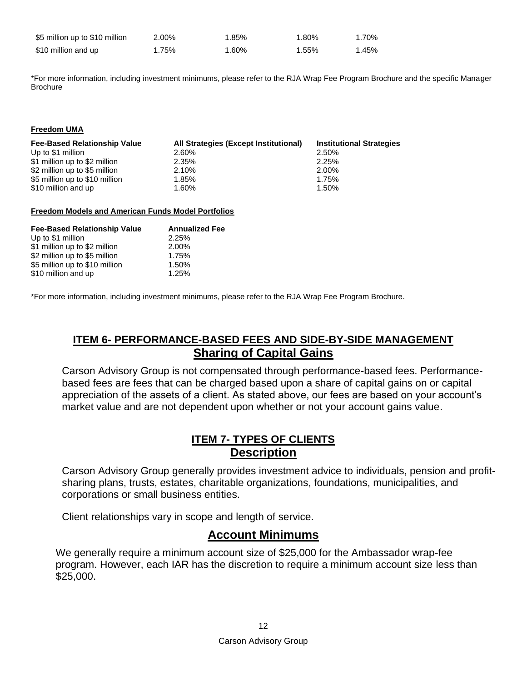| \$5 million up to \$10 million | 2.00% | 1.85% | 1.80% | 1.70% |
|--------------------------------|-------|-------|-------|-------|
| \$10 million and up            | 1.75% | 1.60% | 1.55% | 1.45% |

\*For more information, including investment minimums, please refer to the RJA Wrap Fee Program Brochure and the specific Manager Brochure

#### **Freedom UMA**

| <b>Fee-Based Relationship Value</b> | All Strategies (Except Institutional) | <b>Institutional Strategies</b> |
|-------------------------------------|---------------------------------------|---------------------------------|
| Up to \$1 million                   | 2.60%                                 | 2.50%                           |
| \$1 million up to \$2 million       | 2.35%                                 | 2.25%                           |
| \$2 million up to \$5 million       | 2.10%                                 | 2.00%                           |
| \$5 million up to \$10 million      | 1.85%                                 | 1.75%                           |
| \$10 million and up                 | 1.60%                                 | 1.50%                           |

#### **Freedom Models and American Funds Model Portfolios**

| <b>Fee-Based Relationship Value</b> | <b>Annualized Fee</b> |
|-------------------------------------|-----------------------|
| Up to \$1 million                   | 2.25%                 |
| \$1 million up to \$2 million       | 2.00%                 |
| \$2 million up to \$5 million       | 1.75%                 |
| \$5 million up to \$10 million      | 1.50%                 |
| \$10 million and up                 | 1.25%                 |

<span id="page-16-0"></span>\*For more information, including investment minimums, please refer to the RJA Wrap Fee Program Brochure.

# **ITEM 6- PERFORMANCE-BASED FEES AND SIDE-BY-SIDE MANAGEMENT Sharing of Capital Gains**

<span id="page-16-1"></span>Carson Advisory Group is not compensated through performance-based fees. Performancebased fees are fees that can be charged based upon a share of capital gains on or capital appreciation of the assets of a client. As stated above, our fees are based on your account's market value and are not dependent upon whether or not your account gains value.

# **ITEM 7- TYPES OF CLIENTS Description**

<span id="page-16-3"></span><span id="page-16-2"></span>Carson Advisory Group generally provides investment advice to individuals, pension and profitsharing plans, trusts, estates, charitable organizations, foundations, municipalities, and corporations or small business entities.

Client relationships vary in scope and length of service.

# **Account Minimums**

<span id="page-16-4"></span>We generally require a minimum account size of \$25,000 for the Ambassador wrap-fee program. However, each IAR has the discretion to require a minimum account size less than \$25,000.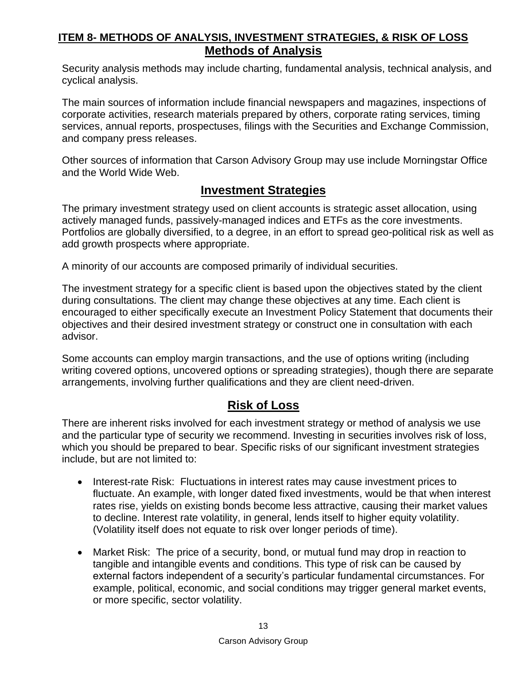# <span id="page-17-1"></span><span id="page-17-0"></span>**ITEM 8- METHODS OF ANALYSIS, INVESTMENT STRATEGIES, & RISK OF LOSS Methods of Analysis**

Security analysis methods may include charting, fundamental analysis, technical analysis, and cyclical analysis.

The main sources of information include financial newspapers and magazines, inspections of corporate activities, research materials prepared by others, corporate rating services, timing services, annual reports, prospectuses, filings with the Securities and Exchange Commission, and company press releases.

Other sources of information that Carson Advisory Group may use include Morningstar Office and the World Wide Web.

# **Investment Strategies**

<span id="page-17-2"></span>The primary investment strategy used on client accounts is strategic asset allocation, using actively managed funds, passively-managed indices and ETFs as the core investments. Portfolios are globally diversified, to a degree, in an effort to spread geo-political risk as well as add growth prospects where appropriate.

A minority of our accounts are composed primarily of individual securities.

The investment strategy for a specific client is based upon the objectives stated by the client during consultations. The client may change these objectives at any time. Each client is encouraged to either specifically execute an Investment Policy Statement that documents their objectives and their desired investment strategy or construct one in consultation with each advisor.

Some accounts can employ margin transactions, and the use of options writing (including writing covered options, uncovered options or spreading strategies), though there are separate arrangements, involving further qualifications and they are client need-driven.

# **Risk of Loss**

<span id="page-17-3"></span>There are inherent risks involved for each investment strategy or method of analysis we use and the particular type of security we recommend. Investing in securities involves risk of loss, which you should be prepared to bear. Specific risks of our significant investment strategies include, but are not limited to:

- Interest-rate Risk: Fluctuations in interest rates may cause investment prices to fluctuate. An example, with longer dated fixed investments, would be that when interest rates rise, yields on existing bonds become less attractive, causing their market values to decline. Interest rate volatility, in general, lends itself to higher equity volatility. (Volatility itself does not equate to risk over longer periods of time).
- Market Risk: The price of a security, bond, or mutual fund may drop in reaction to tangible and intangible events and conditions. This type of risk can be caused by external factors independent of a security's particular fundamental circumstances. For example, political, economic, and social conditions may trigger general market events, or more specific, sector volatility.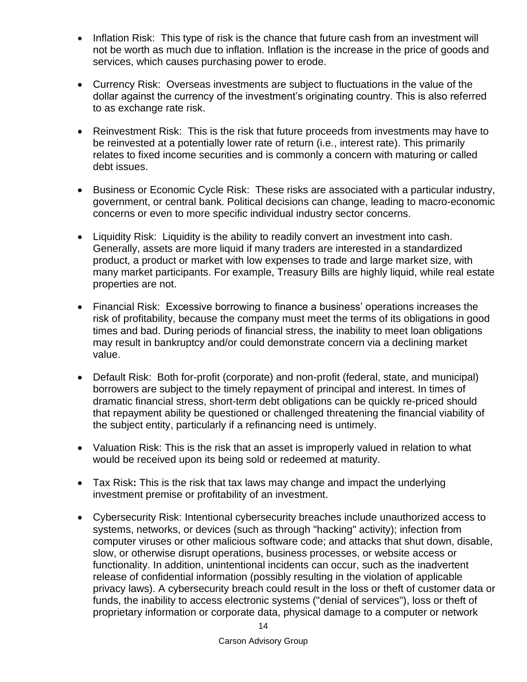- Inflation Risk: This type of risk is the chance that future cash from an investment will not be worth as much due to inflation. Inflation is the increase in the price of goods and services, which causes purchasing power to erode.
- Currency Risk: Overseas investments are subject to fluctuations in the value of the dollar against the currency of the investment's originating country. This is also referred to as exchange rate risk.
- Reinvestment Risk: This is the risk that future proceeds from investments may have to be reinvested at a potentially lower rate of return (i.e., interest rate). This primarily relates to fixed income securities and is commonly a concern with maturing or called debt issues.
- Business or Economic Cycle Risk: These risks are associated with a particular industry, government, or central bank. Political decisions can change, leading to macro-economic concerns or even to more specific individual industry sector concerns.
- Liquidity Risk: Liquidity is the ability to readily convert an investment into cash. Generally, assets are more liquid if many traders are interested in a standardized product, a product or market with low expenses to trade and large market size, with many market participants. For example, Treasury Bills are highly liquid, while real estate properties are not.
- Financial Risk: Excessive borrowing to finance a business' operations increases the risk of profitability, because the company must meet the terms of its obligations in good times and bad. During periods of financial stress, the inability to meet loan obligations may result in bankruptcy and/or could demonstrate concern via a declining market value.
- Default Risk: Both for-profit (corporate) and non-profit (federal, state, and municipal) borrowers are subject to the timely repayment of principal and interest. In times of dramatic financial stress, short-term debt obligations can be quickly re-priced should that repayment ability be questioned or challenged threatening the financial viability of the subject entity, particularly if a refinancing need is untimely.
- Valuation Risk: This is the risk that an asset is improperly valued in relation to what would be received upon its being sold or redeemed at maturity.
- Tax Risk**:** This is the risk that tax laws may change and impact the underlying investment premise or profitability of an investment.
- Cybersecurity Risk: Intentional cybersecurity breaches include unauthorized access to systems, networks, or devices (such as through "hacking" activity); infection from computer viruses or other malicious software code; and attacks that shut down, disable, slow, or otherwise disrupt operations, business processes, or website access or functionality. In addition, unintentional incidents can occur, such as the inadvertent release of confidential information (possibly resulting in the violation of applicable privacy laws). A cybersecurity breach could result in the loss or theft of customer data or funds, the inability to access electronic systems ("denial of services"), loss or theft of proprietary information or corporate data, physical damage to a computer or network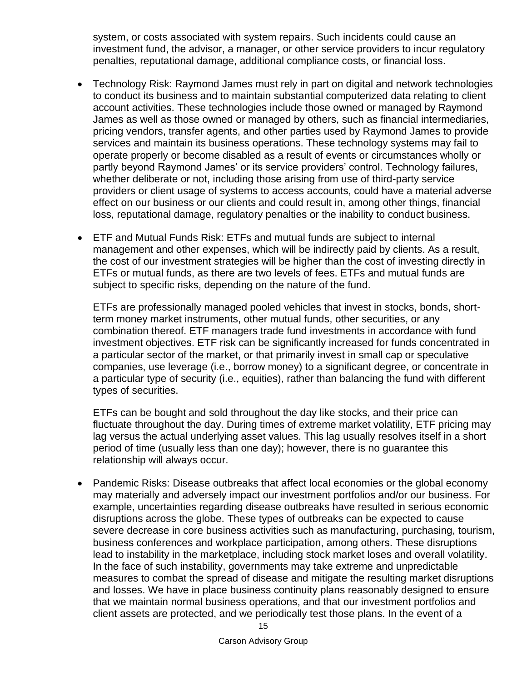system, or costs associated with system repairs. Such incidents could cause an investment fund, the advisor, a manager, or other service providers to incur regulatory penalties, reputational damage, additional compliance costs, or financial loss.

- Technology Risk: Raymond James must rely in part on digital and network technologies to conduct its business and to maintain substantial computerized data relating to client account activities. These technologies include those owned or managed by Raymond James as well as those owned or managed by others, such as financial intermediaries, pricing vendors, transfer agents, and other parties used by Raymond James to provide services and maintain its business operations. These technology systems may fail to operate properly or become disabled as a result of events or circumstances wholly or partly beyond Raymond James' or its service providers' control. Technology failures, whether deliberate or not, including those arising from use of third-party service providers or client usage of systems to access accounts, could have a material adverse effect on our business or our clients and could result in, among other things, financial loss, reputational damage, regulatory penalties or the inability to conduct business.
- ETF and Mutual Funds Risk: ETFs and mutual funds are subject to internal management and other expenses, which will be indirectly paid by clients. As a result, the cost of our investment strategies will be higher than the cost of investing directly in ETFs or mutual funds, as there are two levels of fees. ETFs and mutual funds are subject to specific risks, depending on the nature of the fund.

ETFs are professionally managed pooled vehicles that invest in stocks, bonds, shortterm money market instruments, other mutual funds, other securities, or any combination thereof. ETF managers trade fund investments in accordance with fund investment objectives. ETF risk can be significantly increased for funds concentrated in a particular sector of the market, or that primarily invest in small cap or speculative companies, use leverage (i.e., borrow money) to a significant degree, or concentrate in a particular type of security (i.e., equities), rather than balancing the fund with different types of securities.

ETFs can be bought and sold throughout the day like stocks, and their price can fluctuate throughout the day. During times of extreme market volatility, ETF pricing may lag versus the actual underlying asset values. This lag usually resolves itself in a short period of time (usually less than one day); however, there is no guarantee this relationship will always occur.

• Pandemic Risks: Disease outbreaks that affect local economies or the global economy may materially and adversely impact our investment portfolios and/or our business. For example, uncertainties regarding disease outbreaks have resulted in serious economic disruptions across the globe. These types of outbreaks can be expected to cause severe decrease in core business activities such as manufacturing, purchasing, tourism, business conferences and workplace participation, among others. These disruptions lead to instability in the marketplace, including stock market loses and overall volatility. In the face of such instability, governments may take extreme and unpredictable measures to combat the spread of disease and mitigate the resulting market disruptions and losses. We have in place business continuity plans reasonably designed to ensure that we maintain normal business operations, and that our investment portfolios and client assets are protected, and we periodically test those plans. In the event of a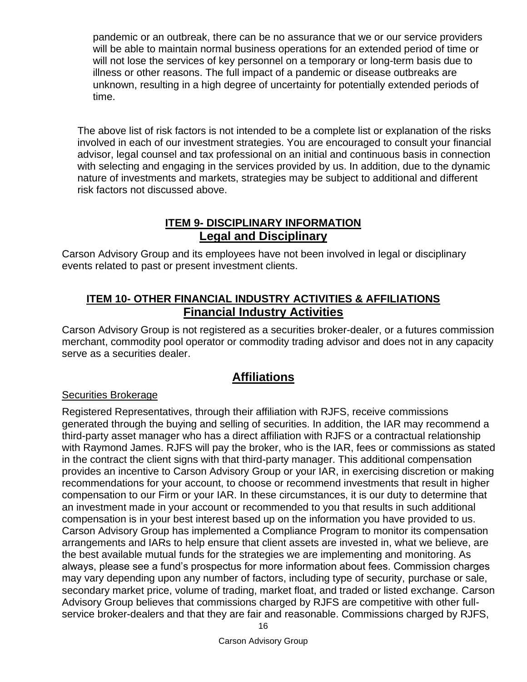pandemic or an outbreak, there can be no assurance that we or our service providers will be able to maintain normal business operations for an extended period of time or will not lose the services of key personnel on a temporary or long-term basis due to illness or other reasons. The full impact of a pandemic or disease outbreaks are unknown, resulting in a high degree of uncertainty for potentially extended periods of time.

The above list of risk factors is not intended to be a complete list or explanation of the risks involved in each of our investment strategies. You are encouraged to consult your financial advisor, legal counsel and tax professional on an initial and continuous basis in connection with selecting and engaging in the services provided by us. In addition, due to the dynamic nature of investments and markets, strategies may be subject to additional and different risk factors not discussed above.

# **ITEM 9- DISCIPLINARY INFORMATION Legal and Disciplinary**

<span id="page-20-2"></span><span id="page-20-1"></span><span id="page-20-0"></span>Carson Advisory Group and its employees have not been involved in legal or disciplinary events related to past or present investment clients.

# **ITEM 10- OTHER FINANCIAL INDUSTRY ACTIVITIES & AFFILIATIONS Financial Industry Activities**

<span id="page-20-3"></span>Carson Advisory Group is not registered as a securities broker-dealer, or a futures commission merchant, commodity pool operator or commodity trading advisor and does not in any capacity serve as a securities dealer.

# **Affiliations**

### <span id="page-20-4"></span>Securities Brokerage

Registered Representatives, through their affiliation with RJFS, receive commissions generated through the buying and selling of securities. In addition, the IAR may recommend a third-party asset manager who has a direct affiliation with RJFS or a contractual relationship with Raymond James. RJFS will pay the broker, who is the IAR, fees or commissions as stated in the contract the client signs with that third-party manager. This additional compensation provides an incentive to Carson Advisory Group or your IAR, in exercising discretion or making recommendations for your account, to choose or recommend investments that result in higher compensation to our Firm or your IAR. In these circumstances, it is our duty to determine that an investment made in your account or recommended to you that results in such additional compensation is in your best interest based up on the information you have provided to us. Carson Advisory Group has implemented a Compliance Program to monitor its compensation arrangements and IARs to help ensure that client assets are invested in, what we believe, are the best available mutual funds for the strategies we are implementing and monitoring. As always, please see a fund's prospectus for more information about fees. Commission charges may vary depending upon any number of factors, including type of security, purchase or sale, secondary market price, volume of trading, market float, and traded or listed exchange. Carson Advisory Group believes that commissions charged by RJFS are competitive with other fullservice broker-dealers and that they are fair and reasonable. Commissions charged by RJFS,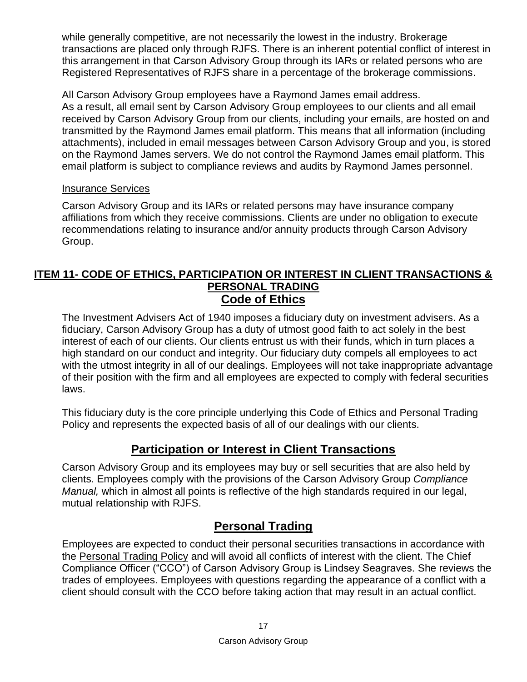while generally competitive, are not necessarily the lowest in the industry. Brokerage transactions are placed only through RJFS. There is an inherent potential conflict of interest in this arrangement in that Carson Advisory Group through its IARs or related persons who are Registered Representatives of RJFS share in a percentage of the brokerage commissions.

All Carson Advisory Group employees have a Raymond James email address. As a result, all email sent by Carson Advisory Group employees to our clients and all email received by Carson Advisory Group from our clients, including your emails, are hosted on and transmitted by the Raymond James email platform. This means that all information (including attachments), included in email messages between Carson Advisory Group and you, is stored on the Raymond James servers. We do not control the Raymond James email platform. This email platform is subject to compliance reviews and audits by Raymond James personnel.

#### Insurance Services

Carson Advisory Group and its IARs or related persons may have insurance company affiliations from which they receive commissions. Clients are under no obligation to execute recommendations relating to insurance and/or annuity products through Carson Advisory Group.

## <span id="page-21-1"></span><span id="page-21-0"></span>**ITEM 11- CODE OF ETHICS, PARTICIPATION OR INTEREST IN CLIENT TRANSACTIONS & PERSONAL TRADING Code of Ethics**

The Investment Advisers Act of 1940 imposes a fiduciary duty on investment advisers. As a fiduciary, Carson Advisory Group has a duty of utmost good faith to act solely in the best interest of each of our clients. Our clients entrust us with their funds, which in turn places a high standard on our conduct and integrity. Our fiduciary duty compels all employees to act with the utmost integrity in all of our dealings. Employees will not take inappropriate advantage of their position with the firm and all employees are expected to comply with federal securities laws.

This fiduciary duty is the core principle underlying this Code of Ethics and Personal Trading Policy and represents the expected basis of all of our dealings with our clients.

# **Participation or Interest in Client Transactions**

<span id="page-21-2"></span>Carson Advisory Group and its employees may buy or sell securities that are also held by clients. Employees comply with the provisions of the Carson Advisory Group *Compliance Manual,* which in almost all points is reflective of the high standards required in our legal, mutual relationship with RJFS.

# **Personal Trading**

<span id="page-21-3"></span>Employees are expected to conduct their personal securities transactions in accordance with the Personal Trading Policy and will avoid all conflicts of interest with the client. The Chief Compliance Officer ("CCO") of Carson Advisory Group is Lindsey Seagraves. She reviews the trades of employees. Employees with questions regarding the appearance of a conflict with a client should consult with the CCO before taking action that may result in an actual conflict.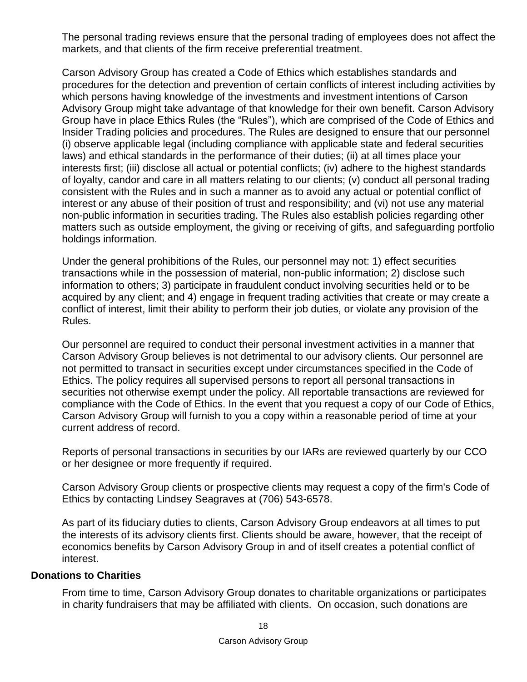The personal trading reviews ensure that the personal trading of employees does not affect the markets, and that clients of the firm receive preferential treatment.

Carson Advisory Group has created a Code of Ethics which establishes standards and procedures for the detection and prevention of certain conflicts of interest including activities by which persons having knowledge of the investments and investment intentions of Carson Advisory Group might take advantage of that knowledge for their own benefit. Carson Advisory Group have in place Ethics Rules (the "Rules"), which are comprised of the Code of Ethics and Insider Trading policies and procedures. The Rules are designed to ensure that our personnel (i) observe applicable legal (including compliance with applicable state and federal securities laws) and ethical standards in the performance of their duties; (ii) at all times place your interests first; (iii) disclose all actual or potential conflicts; (iv) adhere to the highest standards of loyalty, candor and care in all matters relating to our clients; (v) conduct all personal trading consistent with the Rules and in such a manner as to avoid any actual or potential conflict of interest or any abuse of their position of trust and responsibility; and (vi) not use any material non-public information in securities trading. The Rules also establish policies regarding other matters such as outside employment, the giving or receiving of gifts, and safeguarding portfolio holdings information.

Under the general prohibitions of the Rules, our personnel may not: 1) effect securities transactions while in the possession of material, non-public information; 2) disclose such information to others; 3) participate in fraudulent conduct involving securities held or to be acquired by any client; and 4) engage in frequent trading activities that create or may create a conflict of interest, limit their ability to perform their job duties, or violate any provision of the Rules.

Our personnel are required to conduct their personal investment activities in a manner that Carson Advisory Group believes is not detrimental to our advisory clients. Our personnel are not permitted to transact in securities except under circumstances specified in the Code of Ethics. The policy requires all supervised persons to report all personal transactions in securities not otherwise exempt under the policy. All reportable transactions are reviewed for compliance with the Code of Ethics. In the event that you request a copy of our Code of Ethics, Carson Advisory Group will furnish to you a copy within a reasonable period of time at your current address of record.

Reports of personal transactions in securities by our IARs are reviewed quarterly by our CCO or her designee or more frequently if required.

Carson Advisory Group clients or prospective clients may request a copy of the firm's Code of Ethics by contacting Lindsey Seagraves at (706) 543-6578.

As part of its fiduciary duties to clients, Carson Advisory Group endeavors at all times to put the interests of its advisory clients first. Clients should be aware, however, that the receipt of economics benefits by Carson Advisory Group in and of itself creates a potential conflict of interest.

#### **Donations to Charities**

From time to time, Carson Advisory Group donates to charitable organizations or participates in charity fundraisers that may be affiliated with clients. On occasion, such donations are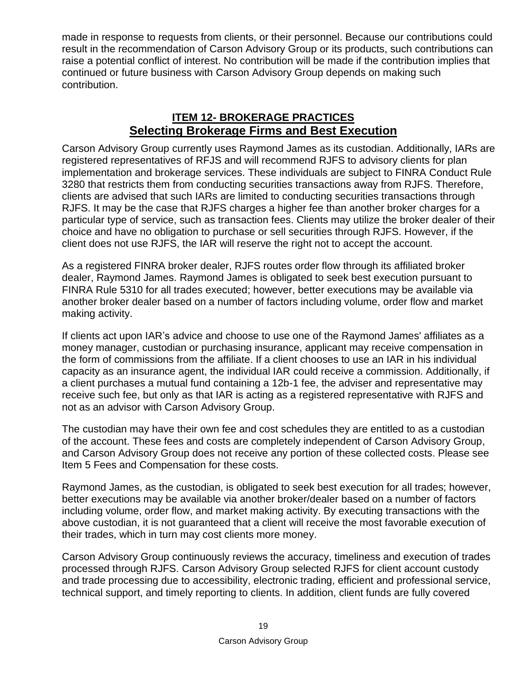made in response to requests from clients, or their personnel. Because our contributions could result in the recommendation of Carson Advisory Group or its products, such contributions can raise a potential conflict of interest. No contribution will be made if the contribution implies that continued or future business with Carson Advisory Group depends on making such contribution.

# **ITEM 12- BROKERAGE PRACTICES Selecting Brokerage Firms and Best Execution**

<span id="page-23-1"></span><span id="page-23-0"></span>Carson Advisory Group currently uses Raymond James as its custodian. Additionally, IARs are registered representatives of RFJS and will recommend RJFS to advisory clients for plan implementation and brokerage services. These individuals are subject to FINRA Conduct Rule 3280 that restricts them from conducting securities transactions away from RJFS. Therefore, clients are advised that such IARs are limited to conducting securities transactions through RJFS. It may be the case that RJFS charges a higher fee than another broker charges for a particular type of service, such as transaction fees. Clients may utilize the broker dealer of their choice and have no obligation to purchase or sell securities through RJFS. However, if the client does not use RJFS, the IAR will reserve the right not to accept the account.

As a registered FINRA broker dealer, RJFS routes order flow through its affiliated broker dealer, Raymond James. Raymond James is obligated to seek best execution pursuant to FINRA Rule 5310 for all trades executed; however, better executions may be available via another broker dealer based on a number of factors including volume, order flow and market making activity.

If clients act upon IAR's advice and choose to use one of the Raymond James' affiliates as a money manager, custodian or purchasing insurance, applicant may receive compensation in the form of commissions from the affiliate. If a client chooses to use an IAR in his individual capacity as an insurance agent, the individual IAR could receive a commission. Additionally, if a client purchases a mutual fund containing a 12b-1 fee, the adviser and representative may receive such fee, but only as that IAR is acting as a registered representative with RJFS and not as an advisor with Carson Advisory Group.

The custodian may have their own fee and cost schedules they are entitled to as a custodian of the account. These fees and costs are completely independent of Carson Advisory Group, and Carson Advisory Group does not receive any portion of these collected costs. Please see Item 5 Fees and Compensation for these costs.

Raymond James, as the custodian, is obligated to seek best execution for all trades; however, better executions may be available via another broker/dealer based on a number of factors including volume, order flow, and market making activity. By executing transactions with the above custodian, it is not guaranteed that a client will receive the most favorable execution of their trades, which in turn may cost clients more money.

Carson Advisory Group continuously reviews the accuracy, timeliness and execution of trades processed through RJFS. Carson Advisory Group selected RJFS for client account custody and trade processing due to accessibility, electronic trading, efficient and professional service, technical support, and timely reporting to clients. In addition, client funds are fully covered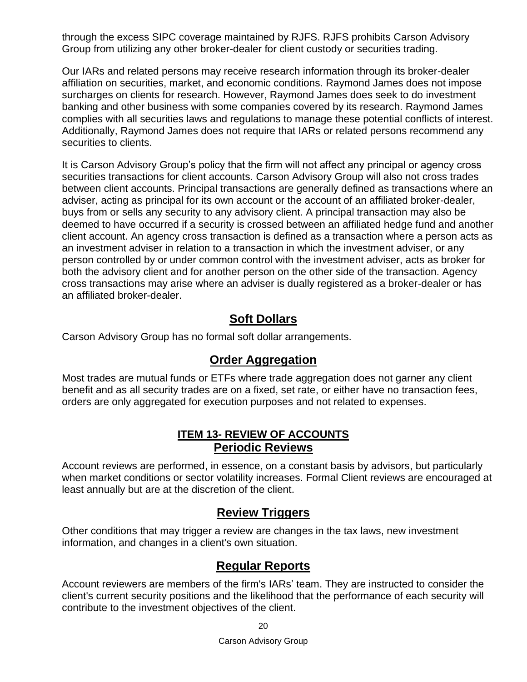through the excess SIPC coverage maintained by RJFS. RJFS prohibits Carson Advisory Group from utilizing any other broker-dealer for client custody or securities trading.

Our IARs and related persons may receive research information through its broker-dealer affiliation on securities, market, and economic conditions. Raymond James does not impose surcharges on clients for research. However, Raymond James does seek to do investment banking and other business with some companies covered by its research. Raymond James complies with all securities laws and regulations to manage these potential conflicts of interest. Additionally, Raymond James does not require that IARs or related persons recommend any securities to clients.

It is Carson Advisory Group's policy that the firm will not affect any principal or agency cross securities transactions for client accounts. Carson Advisory Group will also not cross trades between client accounts. Principal transactions are generally defined as transactions where an adviser, acting as principal for its own account or the account of an affiliated broker-dealer, buys from or sells any security to any advisory client. A principal transaction may also be deemed to have occurred if a security is crossed between an affiliated hedge fund and another client account. An agency cross transaction is defined as a transaction where a person acts as an investment adviser in relation to a transaction in which the investment adviser, or any person controlled by or under common control with the investment adviser, acts as broker for both the advisory client and for another person on the other side of the transaction. Agency cross transactions may arise where an adviser is dually registered as a broker-dealer or has an affiliated broker-dealer.

# **Soft Dollars**

<span id="page-24-0"></span>Carson Advisory Group has no formal soft dollar arrangements.

# **Order Aggregation**

<span id="page-24-2"></span><span id="page-24-1"></span>Most trades are mutual funds or ETFs where trade aggregation does not garner any client benefit and as all security trades are on a fixed, set rate, or either have no transaction fees, orders are only aggregated for execution purposes and not related to expenses.

# **ITEM 13- REVIEW OF ACCOUNTS Periodic Reviews**

<span id="page-24-3"></span>Account reviews are performed, in essence, on a constant basis by advisors, but particularly when market conditions or sector volatility increases. Formal Client reviews are encouraged at least annually but are at the discretion of the client.

# **Review Triggers**

<span id="page-24-4"></span>Other conditions that may trigger a review are changes in the tax laws, new investment information, and changes in a client's own situation.

# **Regular Reports**

<span id="page-24-5"></span>Account reviewers are members of the firm's IARs' team. They are instructed to consider the client's current security positions and the likelihood that the performance of each security will contribute to the investment objectives of the client.

20

Carson Advisory Group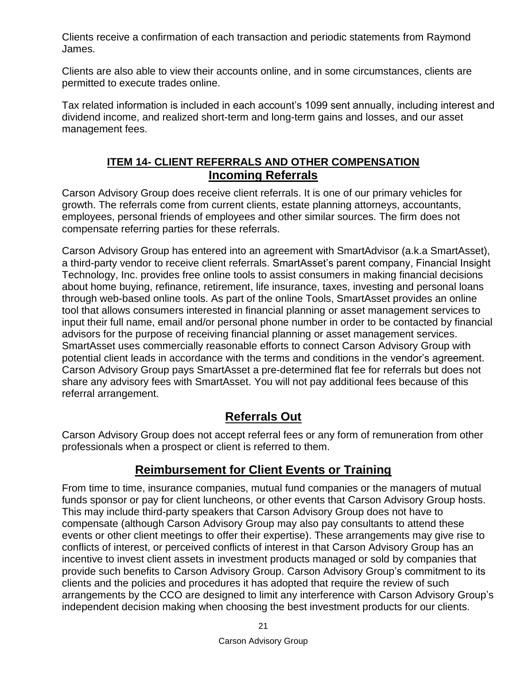Clients receive a confirmation of each transaction and periodic statements from Raymond James.

Clients are also able to view their accounts online, and in some circumstances, clients are permitted to execute trades online.

<span id="page-25-0"></span>Tax related information is included in each account's 1099 sent annually, including interest and dividend income, and realized short-term and long-term gains and losses, and our asset management fees.

# **ITEM 14- CLIENT REFERRALS AND OTHER COMPENSATION Incoming Referrals**

<span id="page-25-1"></span>Carson Advisory Group does receive client referrals. It is one of our primary vehicles for growth. The referrals come from current clients, estate planning attorneys, accountants, employees, personal friends of employees and other similar sources. The firm does not compensate referring parties for these referrals.

Carson Advisory Group has entered into an agreement with SmartAdvisor (a.k.a SmartAsset), a third-party vendor to receive client referrals. SmartAsset's parent company, Financial Insight Technology, Inc. provides free online tools to assist consumers in making financial decisions about home buying, refinance, retirement, life insurance, taxes, investing and personal loans through web-based online tools. As part of the online Tools, SmartAsset provides an online tool that allows consumers interested in financial planning or asset management services to input their full name, email and/or personal phone number in order to be contacted by financial advisors for the purpose of receiving financial planning or asset management services. SmartAsset uses commercially reasonable efforts to connect Carson Advisory Group with potential client leads in accordance with the terms and conditions in the vendor's agreement. Carson Advisory Group pays SmartAsset a pre-determined flat fee for referrals but does not share any advisory fees with SmartAsset. You will not pay additional fees because of this referral arrangement.

# **Referrals Out**

<span id="page-25-2"></span>Carson Advisory Group does not accept referral fees or any form of remuneration from other professionals when a prospect or client is referred to them.

# **Reimbursement for Client Events or Training**

<span id="page-25-3"></span>From time to time, insurance companies, mutual fund companies or the managers of mutual funds sponsor or pay for client luncheons, or other events that Carson Advisory Group hosts. This may include third-party speakers that Carson Advisory Group does not have to compensate (although Carson Advisory Group may also pay consultants to attend these events or other client meetings to offer their expertise). These arrangements may give rise to conflicts of interest, or perceived conflicts of interest in that Carson Advisory Group has an incentive to invest client assets in investment products managed or sold by companies that provide such benefits to Carson Advisory Group. Carson Advisory Group's commitment to its clients and the policies and procedures it has adopted that require the review of such arrangements by the CCO are designed to limit any interference with Carson Advisory Group's independent decision making when choosing the best investment products for our clients.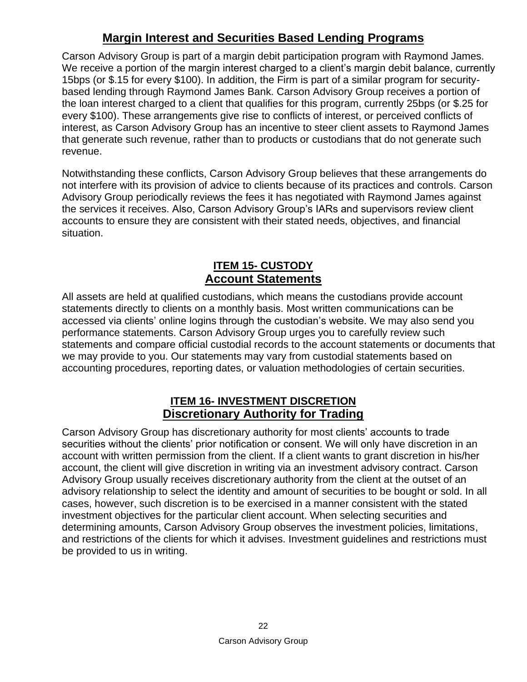# **Margin Interest and Securities Based Lending Programs**

<span id="page-26-0"></span>Carson Advisory Group is part of a margin debit participation program with Raymond James. We receive a portion of the margin interest charged to a client's margin debit balance, currently 15bps (or \$.15 for every \$100). In addition, the Firm is part of a similar program for securitybased lending through Raymond James Bank. Carson Advisory Group receives a portion of the loan interest charged to a client that qualifies for this program, currently 25bps (or \$.25 for every \$100). These arrangements give rise to conflicts of interest, or perceived conflicts of interest, as Carson Advisory Group has an incentive to steer client assets to Raymond James that generate such revenue, rather than to products or custodians that do not generate such revenue.

Notwithstanding these conflicts, Carson Advisory Group believes that these arrangements do not interfere with its provision of advice to clients because of its practices and controls. Carson Advisory Group periodically reviews the fees it has negotiated with Raymond James against the services it receives. Also, Carson Advisory Group's IARs and supervisors review client accounts to ensure they are consistent with their stated needs, objectives, and financial situation.

# **ITEM 15- CUSTODY Account Statements**

<span id="page-26-2"></span><span id="page-26-1"></span>All assets are held at qualified custodians, which means the custodians provide account statements directly to clients on a monthly basis. Most written communications can be accessed via clients' online logins through the custodian's website. We may also send you performance statements. Carson Advisory Group urges you to carefully review such statements and compare official custodial records to the account statements or documents that we may provide to you. Our statements may vary from custodial statements based on accounting procedures, reporting dates, or valuation methodologies of certain securities.

# **ITEM 16- INVESTMENT DISCRETION Discretionary Authority for Trading**

<span id="page-26-4"></span><span id="page-26-3"></span>Carson Advisory Group has discretionary authority for most clients' accounts to trade securities without the clients' prior notification or consent. We will only have discretion in an account with written permission from the client. If a client wants to grant discretion in his/her account, the client will give discretion in writing via an investment advisory contract. Carson Advisory Group usually receives discretionary authority from the client at the outset of an advisory relationship to select the identity and amount of securities to be bought or sold. In all cases, however, such discretion is to be exercised in a manner consistent with the stated investment objectives for the particular client account. When selecting securities and determining amounts, Carson Advisory Group observes the investment policies, limitations, and restrictions of the clients for which it advises. Investment guidelines and restrictions must be provided to us in writing.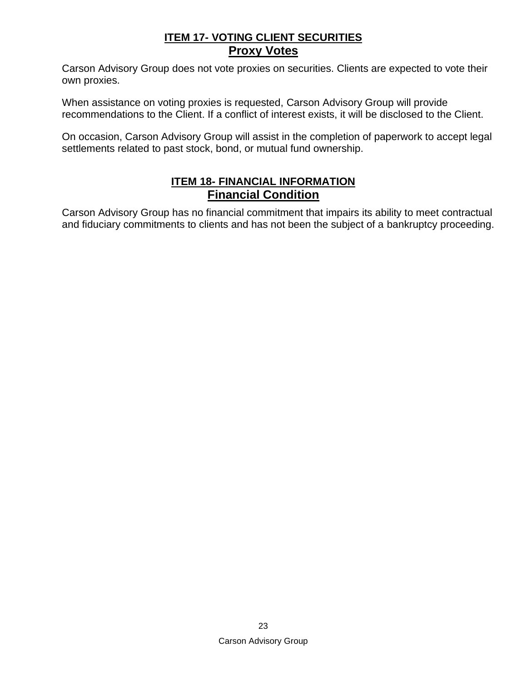# **ITEM 17- VOTING CLIENT SECURITIES Proxy Votes**

<span id="page-27-1"></span><span id="page-27-0"></span>Carson Advisory Group does not vote proxies on securities. Clients are expected to vote their own proxies.

When assistance on voting proxies is requested, Carson Advisory Group will provide recommendations to the Client. If a conflict of interest exists, it will be disclosed to the Client.

<span id="page-27-2"></span>On occasion, Carson Advisory Group will assist in the completion of paperwork to accept legal settlements related to past stock, bond, or mutual fund ownership.

# **ITEM 18- FINANCIAL INFORMATION Financial Condition**

<span id="page-27-3"></span>Carson Advisory Group has no financial commitment that impairs its ability to meet contractual and fiduciary commitments to clients and has not been the subject of a bankruptcy proceeding.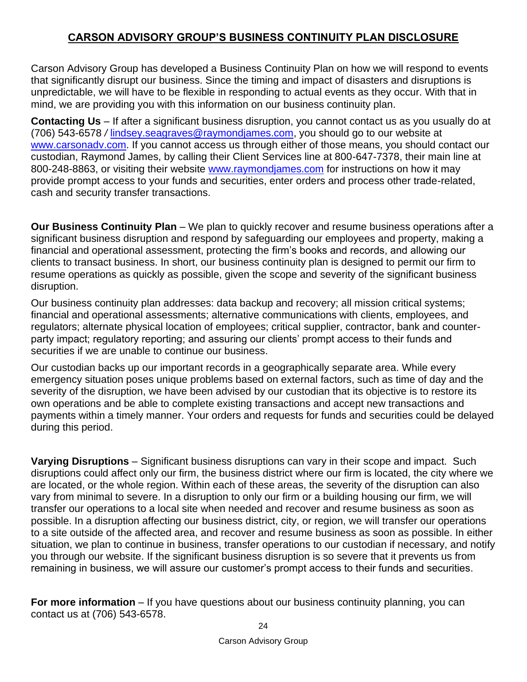# **CARSON ADVISORY GROUP'S BUSINESS CONTINUITY PLAN DISCLOSURE**

<span id="page-28-0"></span>Carson Advisory Group has developed a Business Continuity Plan on how we will respond to events that significantly disrupt our business. Since the timing and impact of disasters and disruptions is unpredictable, we will have to be flexible in responding to actual events as they occur. With that in mind, we are providing you with this information on our business continuity plan.

**Contacting Us** – If after a significant business disruption, you cannot contact us as you usually do at (706) 543-6578 */* [lindsey.seagraves@raymondjames.com,](mailto:lindsey.seagraves@raymondjames.com) you should go to our website at www.carsonady.com. If you cannot access us through either of those means, you should contact our custodian, Raymond James, by calling their Client Services line at 800-647-7378, their main line at 800-248-8863, or visiting their website [www.raymondjames.com](http://www.raymondjames.com/) for instructions on how it may provide prompt access to your funds and securities, enter orders and process other trade-related, cash and security transfer transactions.

**Our Business Continuity Plan** – We plan to quickly recover and resume business operations after a significant business disruption and respond by safeguarding our employees and property, making a financial and operational assessment, protecting the firm's books and records, and allowing our clients to transact business. In short, our business continuity plan is designed to permit our firm to resume operations as quickly as possible, given the scope and severity of the significant business disruption.

Our business continuity plan addresses: data backup and recovery; all mission critical systems; financial and operational assessments; alternative communications with clients, employees, and regulators; alternate physical location of employees; critical supplier, contractor, bank and counterparty impact; regulatory reporting; and assuring our clients' prompt access to their funds and securities if we are unable to continue our business.

Our custodian backs up our important records in a geographically separate area. While every emergency situation poses unique problems based on external factors, such as time of day and the severity of the disruption, we have been advised by our custodian that its objective is to restore its own operations and be able to complete existing transactions and accept new transactions and payments within a timely manner. Your orders and requests for funds and securities could be delayed during this period.

**Varying Disruptions** – Significant business disruptions can vary in their scope and impact. Such disruptions could affect only our firm, the business district where our firm is located, the city where we are located, or the whole region. Within each of these areas, the severity of the disruption can also vary from minimal to severe. In a disruption to only our firm or a building housing our firm, we will transfer our operations to a local site when needed and recover and resume business as soon as possible. In a disruption affecting our business district, city, or region, we will transfer our operations to a site outside of the affected area, and recover and resume business as soon as possible. In either situation, we plan to continue in business, transfer operations to our custodian if necessary, and notify you through our website. If the significant business disruption is so severe that it prevents us from remaining in business, we will assure our customer's prompt access to their funds and securities.

**For more information** – If you have questions about our business continuity planning, you can contact us at (706) 543-6578.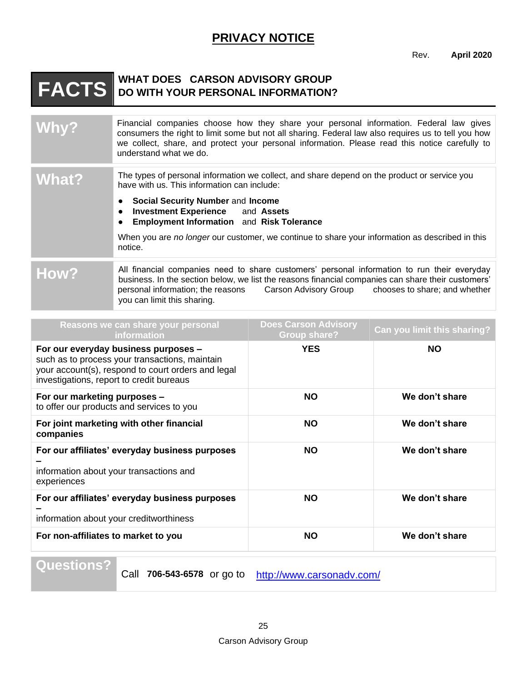# **PRIVACY NOTICE**

Rev. **April 2020**

# <span id="page-29-0"></span>**FACTS WHAT DOES CARSON ADVISORY GROUP DO WITH YOUR PERSONAL INFORMATION?**

| Why?  | Financial companies choose how they share your personal information. Federal law gives<br>consumers the right to limit some but not all sharing. Federal law also requires us to tell you how<br>we collect, share, and protect your personal information. Please read this notice carefully to<br>understand what we do. |
|-------|---------------------------------------------------------------------------------------------------------------------------------------------------------------------------------------------------------------------------------------------------------------------------------------------------------------------------|
| What? | The types of personal information we collect, and share depend on the product or service you<br>have with us. This information can include:                                                                                                                                                                               |
|       | Social Security Number and Income<br><b>Investment Experience</b> and Assets<br>$\bullet$<br><b>Employment Information</b> and Risk Tolerance<br>$\bullet$                                                                                                                                                                |
|       | When you are no longer our customer, we continue to share your information as described in this<br>notice.                                                                                                                                                                                                                |
| How?  | All financial companies need to share customers' personal information to run their everyday<br>business. In the section below, we list the reasons financial companies can share their customers'<br>personal information; the reasons Carson Advisory Group chooses to share; and whether<br>you can limit this sharing. |

| Reasons we can share your personal<br><b>information</b>                                                                                                                                 | <b>Does Carson Advisory</b><br><b>Group share?</b> | Can you limit this sharing? |
|------------------------------------------------------------------------------------------------------------------------------------------------------------------------------------------|----------------------------------------------------|-----------------------------|
| For our everyday business purposes -<br>such as to process your transactions, maintain<br>your account(s), respond to court orders and legal<br>investigations, report to credit bureaus | <b>YES</b>                                         | <b>NO</b>                   |
| For our marketing purposes -<br>to offer our products and services to you                                                                                                                | <b>NO</b>                                          | We don't share              |
| For joint marketing with other financial<br>companies                                                                                                                                    | <b>NO</b>                                          | We don't share              |
| For our affiliates' everyday business purposes<br>information about your transactions and<br>experiences                                                                                 | <b>NO</b>                                          | We don't share              |
| For our affiliates' everyday business purposes<br>information about your creditworthiness                                                                                                | <b>NO</b>                                          | We don't share              |
| For non-affiliates to market to you                                                                                                                                                      | <b>NO</b>                                          | We don't share              |

**Questions?**

Call 706-543-6578 or go to <http://www.carsonadv.com/>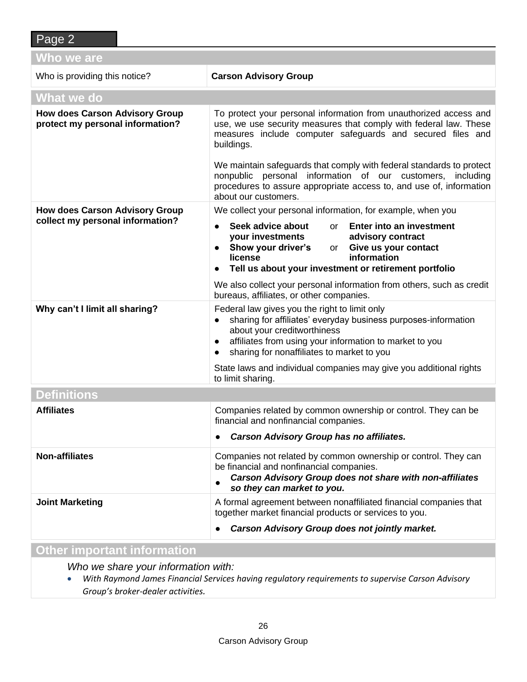| Who we are                                                                |                                                                                                                                                                                                                                                                                                                                                                                                                                                         |  |
|---------------------------------------------------------------------------|---------------------------------------------------------------------------------------------------------------------------------------------------------------------------------------------------------------------------------------------------------------------------------------------------------------------------------------------------------------------------------------------------------------------------------------------------------|--|
| Who is providing this notice?                                             | <b>Carson Advisory Group</b>                                                                                                                                                                                                                                                                                                                                                                                                                            |  |
| What we do                                                                |                                                                                                                                                                                                                                                                                                                                                                                                                                                         |  |
| <b>How does Carson Advisory Group</b><br>protect my personal information? | To protect your personal information from unauthorized access and<br>use, we use security measures that comply with federal law. These<br>measures include computer safeguards and secured files and<br>buildings.<br>We maintain safeguards that comply with federal standards to protect<br>nonpublic personal information of our customers, including<br>procedures to assure appropriate access to, and use of, information<br>about our customers. |  |
| <b>How does Carson Advisory Group</b><br>collect my personal information? | We collect your personal information, for example, when you                                                                                                                                                                                                                                                                                                                                                                                             |  |
|                                                                           | Seek advice about<br>or Enter into an investment<br>$\bullet$<br><b>your investments<br/>Show your driver's</b> or<br>advisory contract<br>or Give us your contact<br>information<br>license<br>Tell us about your investment or retirement portfolio<br>We also collect your personal information from others, such as credit                                                                                                                          |  |
|                                                                           | bureaus, affiliates, or other companies.                                                                                                                                                                                                                                                                                                                                                                                                                |  |
| Why can't I limit all sharing?                                            | Federal law gives you the right to limit only<br>sharing for affiliates' everyday business purposes-information<br>about your creditworthiness<br>affiliates from using your information to market to you<br>sharing for nonaffiliates to market to you                                                                                                                                                                                                 |  |
|                                                                           | State laws and individual companies may give you additional rights<br>to limit sharing.                                                                                                                                                                                                                                                                                                                                                                 |  |
| <b>Definitions</b>                                                        |                                                                                                                                                                                                                                                                                                                                                                                                                                                         |  |
| <b>Affiliates</b>                                                         | Companies related by common ownership or control. They can be<br>financial and nonfinancial companies.<br><b>Carson Advisory Group has no affiliates.</b>                                                                                                                                                                                                                                                                                               |  |
| <b>Non-affiliates</b>                                                     | Companies not related by common ownership or control. They can<br>be financial and nonfinancial companies.<br><b>Carson Advisory Group does not share with non-affiliates</b><br>so they can market to you.                                                                                                                                                                                                                                             |  |
| <b>Joint Marketing</b>                                                    | A formal agreement between nonaffiliated financial companies that<br>together market financial products or services to you.                                                                                                                                                                                                                                                                                                                             |  |
|                                                                           | <b>Carson Advisory Group does not jointly market.</b>                                                                                                                                                                                                                                                                                                                                                                                                   |  |

#### **Other important information**

*Who we share your information with:*

• *With Raymond James Financial Services having regulatory requirements to supervise Carson Advisory Group's broker-dealer activities.*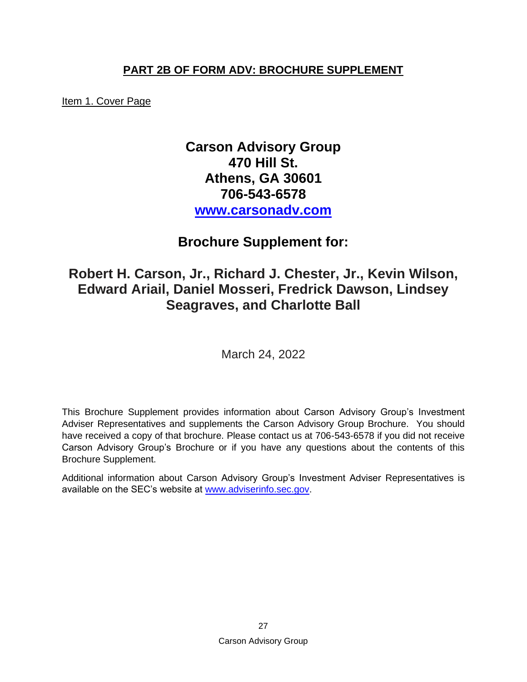# **PART 2B OF FORM ADV: BROCHURE SUPPLEMENT**

<span id="page-31-0"></span>Item 1. Cover Page

# **Carson Advisory Group 470 Hill St. Athens, GA 30601 706-543-6578 [www.carsonadv.com](http://www.carsonadv.com/)**

# **Brochure Supplement for:**

# **Robert H. Carson, Jr., Richard J. Chester, Jr., Kevin Wilson, Edward Ariail, Daniel Mosseri, Fredrick Dawson, Lindsey Seagraves, and Charlotte Ball**

March 24, 2022

This Brochure Supplement provides information about Carson Advisory Group's Investment Adviser Representatives and supplements the Carson Advisory Group Brochure. You should have received a copy of that brochure. Please contact us at 706-543-6578 if you did not receive Carson Advisory Group's Brochure or if you have any questions about the contents of this Brochure Supplement.

Additional information about Carson Advisory Group's Investment Adviser Representatives is available on the SEC's website at [www.adviserinfo.sec.gov.](http://www.adviserinfo.sec.gov/)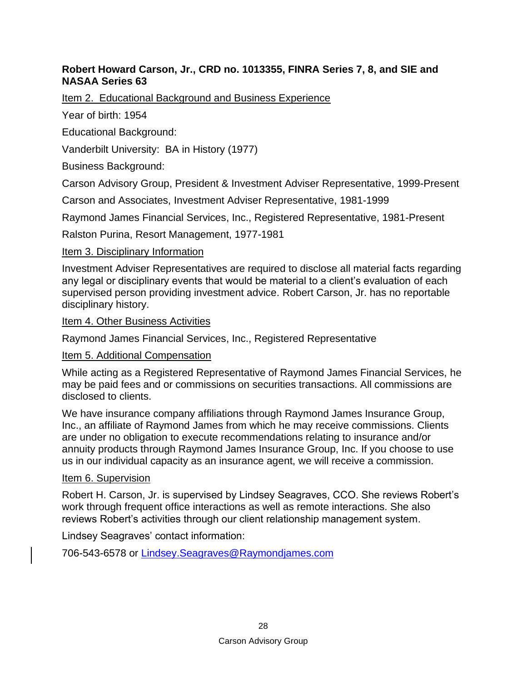#### **Robert Howard Carson, Jr., CRD no. 1013355, FINRA Series 7, 8, and SIE and NASAA Series 63**

Item 2. Educational Background and Business Experience

Year of birth: 1954

Educational Background:

Vanderbilt University: BA in History (1977)

Business Background:

Carson Advisory Group, President & Investment Adviser Representative, 1999-Present

Carson and Associates, Investment Adviser Representative, 1981-1999

Raymond James Financial Services, Inc., Registered Representative, 1981-Present

Ralston Purina, Resort Management, 1977-1981

#### Item 3. Disciplinary Information

Investment Adviser Representatives are required to disclose all material facts regarding any legal or disciplinary events that would be material to a client's evaluation of each supervised person providing investment advice. Robert Carson, Jr. has no reportable disciplinary history.

Item 4. Other Business Activities

Raymond James Financial Services, Inc., Registered Representative

#### Item 5. Additional Compensation

While acting as a Registered Representative of Raymond James Financial Services, he may be paid fees and or commissions on securities transactions. All commissions are disclosed to clients.

We have insurance company affiliations through Raymond James Insurance Group, Inc., an affiliate of Raymond James from which he may receive commissions. Clients are under no obligation to execute recommendations relating to insurance and/or annuity products through Raymond James Insurance Group, Inc. If you choose to use us in our individual capacity as an insurance agent, we will receive a commission.

#### Item 6. Supervision

Robert H. Carson, Jr. is supervised by Lindsey Seagraves, CCO. She reviews Robert's work through frequent office interactions as well as remote interactions. She also reviews Robert's activities through our client relationship management system.

Lindsey Seagraves' contact information: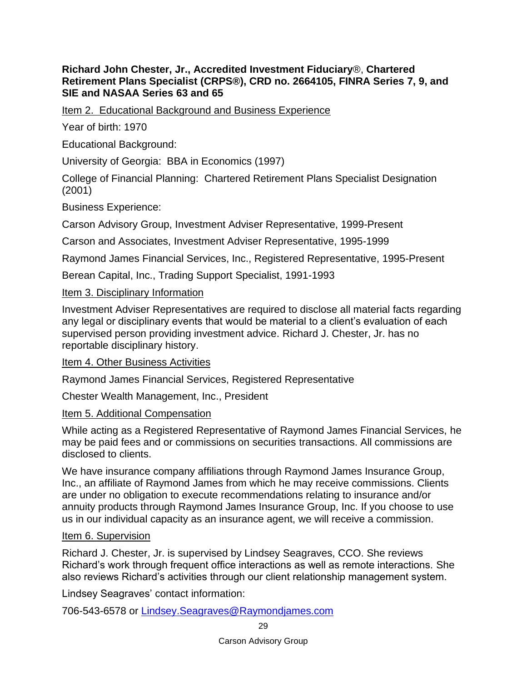#### **Richard John Chester, Jr., Accredited Investment Fiduciary**®, **Chartered Retirement Plans Specialist (CRPS®), CRD no. 2664105, FINRA Series 7, 9, and SIE and NASAA Series 63 and 65**

Item 2. Educational Background and Business Experience

Year of birth: 1970

Educational Background:

University of Georgia: BBA in Economics (1997)

College of Financial Planning: Chartered Retirement Plans Specialist Designation (2001)

Business Experience:

Carson Advisory Group, Investment Adviser Representative, 1999-Present

Carson and Associates, Investment Adviser Representative, 1995-1999

Raymond James Financial Services, Inc., Registered Representative, 1995-Present

Berean Capital, Inc., Trading Support Specialist, 1991-1993

#### Item 3. Disciplinary Information

Investment Adviser Representatives are required to disclose all material facts regarding any legal or disciplinary events that would be material to a client's evaluation of each supervised person providing investment advice. Richard J. Chester, Jr. has no reportable disciplinary history.

Item 4. Other Business Activities

Raymond James Financial Services, Registered Representative

Chester Wealth Management, Inc., President

#### Item 5. Additional Compensation

While acting as a Registered Representative of Raymond James Financial Services, he may be paid fees and or commissions on securities transactions. All commissions are disclosed to clients.

We have insurance company affiliations through Raymond James Insurance Group, Inc., an affiliate of Raymond James from which he may receive commissions. Clients are under no obligation to execute recommendations relating to insurance and/or annuity products through Raymond James Insurance Group, Inc. If you choose to use us in our individual capacity as an insurance agent, we will receive a commission.

### Item 6. Supervision

Richard J. Chester, Jr. is supervised by Lindsey Seagraves, CCO. She reviews Richard's work through frequent office interactions as well as remote interactions. She also reviews Richard's activities through our client relationship management system.

Lindsey Seagraves' contact information: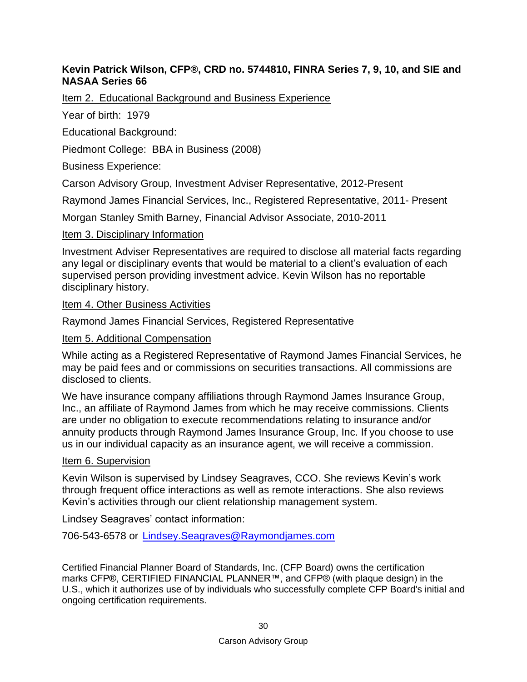#### **Kevin Patrick Wilson, CFP®, CRD no. 5744810, FINRA Series 7, 9, 10, and SIE and NASAA Series 66**

Item 2. Educational Background and Business Experience

Year of birth: 1979

Educational Background:

Piedmont College: BBA in Business (2008)

Business Experience:

Carson Advisory Group, Investment Adviser Representative, 2012-Present

Raymond James Financial Services, Inc., Registered Representative, 2011- Present

Morgan Stanley Smith Barney, Financial Advisor Associate, 2010-2011

#### Item 3. Disciplinary Information

Investment Adviser Representatives are required to disclose all material facts regarding any legal or disciplinary events that would be material to a client's evaluation of each supervised person providing investment advice. Kevin Wilson has no reportable disciplinary history.

Item 4. Other Business Activities

Raymond James Financial Services, Registered Representative

Item 5. Additional Compensation

While acting as a Registered Representative of Raymond James Financial Services, he may be paid fees and or commissions on securities transactions. All commissions are disclosed to clients.

We have insurance company affiliations through Raymond James Insurance Group, Inc., an affiliate of Raymond James from which he may receive commissions. Clients are under no obligation to execute recommendations relating to insurance and/or annuity products through Raymond James Insurance Group, Inc. If you choose to use us in our individual capacity as an insurance agent, we will receive a commission.

#### Item 6. Supervision

Kevin Wilson is supervised by Lindsey Seagraves, CCO. She reviews Kevin's work through frequent office interactions as well as remote interactions. She also reviews Kevin's activities through our client relationship management system.

Lindsey Seagraves' contact information:

706-543-6578 or [Lindsey.Seagraves@Raymondjames.com](mailto:Lindsey.Seagraves@Raymondjames.com)

Certified Financial Planner Board of Standards, Inc. (CFP Board) owns the certification marks CFP®, CERTIFIED FINANCIAL PLANNER™, and CFP® (with plaque design) in the U.S., which it authorizes use of by individuals who successfully complete CFP Board's initial and ongoing certification requirements.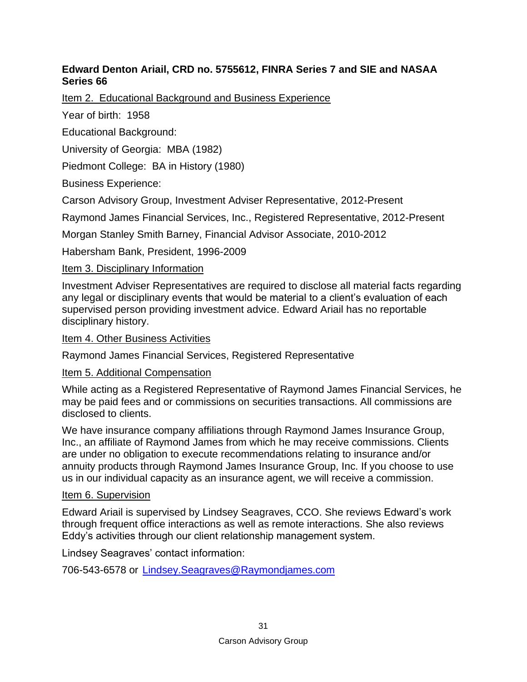## **Edward Denton Ariail, CRD no. 5755612, FINRA Series 7 and SIE and NASAA Series 66**

Item 2. Educational Background and Business Experience

Year of birth: 1958

Educational Background:

University of Georgia: MBA (1982)

Piedmont College: BA in History (1980)

Business Experience:

Carson Advisory Group, Investment Adviser Representative, 2012-Present

Raymond James Financial Services, Inc., Registered Representative, 2012-Present

Morgan Stanley Smith Barney, Financial Advisor Associate, 2010-2012

Habersham Bank, President, 1996-2009

# Item 3. Disciplinary Information

Investment Adviser Representatives are required to disclose all material facts regarding any legal or disciplinary events that would be material to a client's evaluation of each supervised person providing investment advice. Edward Ariail has no reportable disciplinary history.

### Item 4. Other Business Activities

Raymond James Financial Services, Registered Representative

### Item 5. Additional Compensation

While acting as a Registered Representative of Raymond James Financial Services, he may be paid fees and or commissions on securities transactions. All commissions are disclosed to clients.

We have insurance company affiliations through Raymond James Insurance Group, Inc., an affiliate of Raymond James from which he may receive commissions. Clients are under no obligation to execute recommendations relating to insurance and/or annuity products through Raymond James Insurance Group, Inc. If you choose to use us in our individual capacity as an insurance agent, we will receive a commission.

### Item 6. Supervision

Edward Ariail is supervised by Lindsey Seagraves, CCO. She reviews Edward's work through frequent office interactions as well as remote interactions. She also reviews Eddy's activities through our client relationship management system.

Lindsey Seagraves' contact information: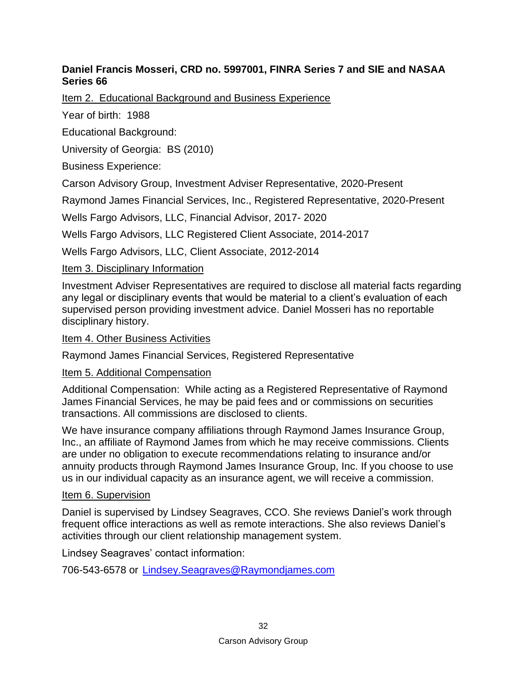## **Daniel Francis Mosseri, CRD no. 5997001, FINRA Series 7 and SIE and NASAA Series 66**

Item 2. Educational Background and Business Experience

Year of birth: 1988

Educational Background:

University of Georgia: BS (2010)

Business Experience:

Carson Advisory Group, Investment Adviser Representative, 2020-Present

Raymond James Financial Services, Inc., Registered Representative, 2020-Present

Wells Fargo Advisors, LLC, Financial Advisor, 2017- 2020

Wells Fargo Advisors, LLC Registered Client Associate, 2014-2017

Wells Fargo Advisors, LLC, Client Associate, 2012-2014

# Item 3. Disciplinary Information

Investment Adviser Representatives are required to disclose all material facts regarding any legal or disciplinary events that would be material to a client's evaluation of each supervised person providing investment advice. Daniel Mosseri has no reportable disciplinary history.

### Item 4. Other Business Activities

Raymond James Financial Services, Registered Representative

### Item 5. Additional Compensation

Additional Compensation: While acting as a Registered Representative of Raymond James Financial Services, he may be paid fees and or commissions on securities transactions. All commissions are disclosed to clients.

We have insurance company affiliations through Raymond James Insurance Group, Inc., an affiliate of Raymond James from which he may receive commissions. Clients are under no obligation to execute recommendations relating to insurance and/or annuity products through Raymond James Insurance Group, Inc. If you choose to use us in our individual capacity as an insurance agent, we will receive a commission.

### Item 6. Supervision

Daniel is supervised by Lindsey Seagraves, CCO. She reviews Daniel's work through frequent office interactions as well as remote interactions. She also reviews Daniel's activities through our client relationship management system.

Lindsey Seagraves' contact information: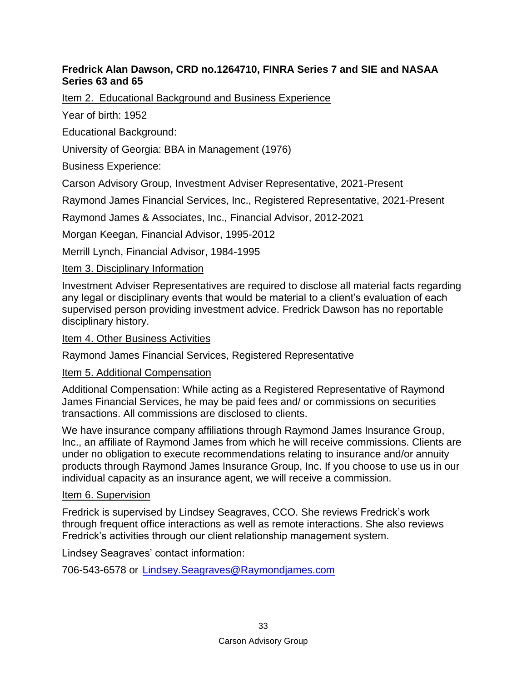## **Fredrick Alan Dawson, CRD no.1264710, FINRA Series 7 and SIE and NASAA Series 63 and 65**

Item 2. Educational Background and Business Experience

Year of birth: 1952

Educational Background:

University of Georgia: BBA in Management (1976)

Business Experience:

Carson Advisory Group, Investment Adviser Representative, 2021-Present

Raymond James Financial Services, Inc., Registered Representative, 2021-Present

Raymond James & Associates, Inc., Financial Advisor, 2012-2021

Morgan Keegan, Financial Advisor, 1995-2012

Merrill Lynch, Financial Advisor, 1984-1995

# Item 3. Disciplinary Information

Investment Adviser Representatives are required to disclose all material facts regarding any legal or disciplinary events that would be material to a client's evaluation of each supervised person providing investment advice. Fredrick Dawson has no reportable disciplinary history.

### Item 4. Other Business Activities

Raymond James Financial Services, Registered Representative

# Item 5. Additional Compensation

Additional Compensation: While acting as a Registered Representative of Raymond James Financial Services, he may be paid fees and/ or commissions on securities transactions. All commissions are disclosed to clients.

We have insurance company affiliations through Raymond James Insurance Group, Inc., an affiliate of Raymond James from which he will receive commissions. Clients are under no obligation to execute recommendations relating to insurance and/or annuity products through Raymond James Insurance Group, Inc. If you choose to use us in our individual capacity as an insurance agent, we will receive a commission.

### Item 6. Supervision

Fredrick is supervised by Lindsey Seagraves, CCO. She reviews Fredrick's work through frequent office interactions as well as remote interactions. She also reviews Fredrick's activities through our client relationship management system.

Lindsey Seagraves' contact information: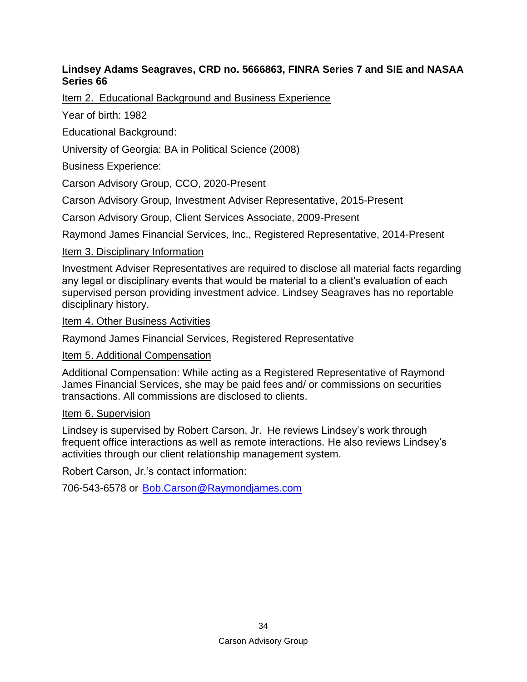#### **Lindsey Adams Seagraves, CRD no. 5666863, FINRA Series 7 and SIE and NASAA Series 66**

Item 2. Educational Background and Business Experience

Year of birth: 1982

Educational Background:

University of Georgia: BA in Political Science (2008)

Business Experience:

Carson Advisory Group, CCO, 2020-Present

Carson Advisory Group, Investment Adviser Representative, 2015-Present

Carson Advisory Group, Client Services Associate, 2009-Present

Raymond James Financial Services, Inc., Registered Representative, 2014-Present

#### Item 3. Disciplinary Information

Investment Adviser Representatives are required to disclose all material facts regarding any legal or disciplinary events that would be material to a client's evaluation of each supervised person providing investment advice. Lindsey Seagraves has no reportable disciplinary history.

Item 4. Other Business Activities

Raymond James Financial Services, Registered Representative

Item 5. Additional Compensation

Additional Compensation: While acting as a Registered Representative of Raymond James Financial Services, she may be paid fees and/ or commissions on securities transactions. All commissions are disclosed to clients.

#### Item 6. Supervision

Lindsey is supervised by Robert Carson, Jr. He reviews Lindsey's work through frequent office interactions as well as remote interactions. He also reviews Lindsey's activities through our client relationship management system.

Robert Carson, Jr.'s contact information:

706-543-6578 or [Bob.Carson@Raymondjames.com](mailto:Bob.Carson@Raymondjames.com)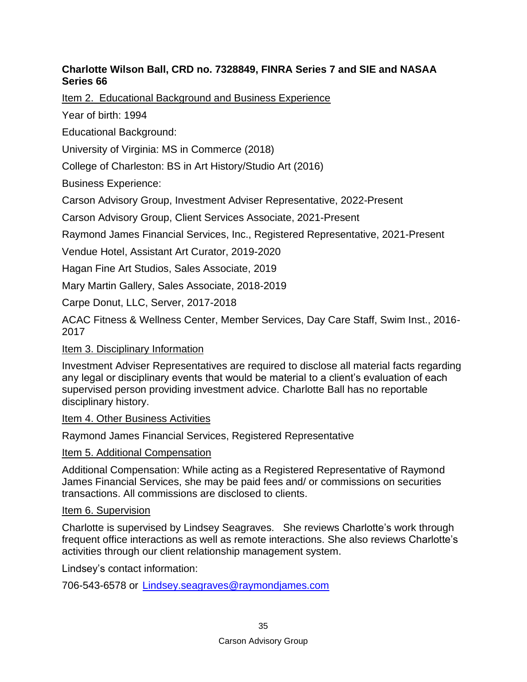## **Charlotte Wilson Ball, CRD no. 7328849, FINRA Series 7 and SIE and NASAA Series 66**

Item 2. Educational Background and Business Experience

Year of birth: 1994

Educational Background:

University of Virginia: MS in Commerce (2018)

College of Charleston: BS in Art History/Studio Art (2016)

Business Experience:

Carson Advisory Group, Investment Adviser Representative, 2022-Present

Carson Advisory Group, Client Services Associate, 2021-Present

Raymond James Financial Services, Inc., Registered Representative, 2021-Present

Vendue Hotel, Assistant Art Curator, 2019-2020

Hagan Fine Art Studios, Sales Associate, 2019

Mary Martin Gallery, Sales Associate, 2018-2019

Carpe Donut, LLC, Server, 2017-2018

ACAC Fitness & Wellness Center, Member Services, Day Care Staff, Swim Inst., 2016- 2017

#### Item 3. Disciplinary Information

Investment Adviser Representatives are required to disclose all material facts regarding any legal or disciplinary events that would be material to a client's evaluation of each supervised person providing investment advice. Charlotte Ball has no reportable disciplinary history.

Item 4. Other Business Activities

Raymond James Financial Services, Registered Representative

#### Item 5. Additional Compensation

Additional Compensation: While acting as a Registered Representative of Raymond James Financial Services, she may be paid fees and/ or commissions on securities transactions. All commissions are disclosed to clients.

#### Item 6. Supervision

Charlotte is supervised by Lindsey Seagraves. She reviews Charlotte's work through frequent office interactions as well as remote interactions. She also reviews Charlotte's activities through our client relationship management system.

Lindsey's contact information: